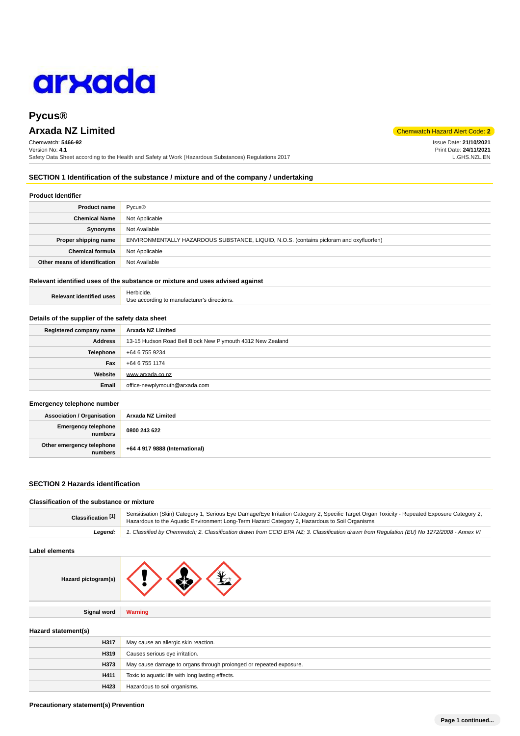

Chemwatch: **5466-92** Version No: **4.1** Safety Data Sheet according to the Health and Safety at Work (Hazardous Substances) Regulations 2017

**SECTION 1 Identification of the substance / mixture and of the company / undertaking**

#### **Product Identifier**

| <b>Product name</b>           | Pycus <sup>®</sup>                                                                      |  |
|-------------------------------|-----------------------------------------------------------------------------------------|--|
| <b>Chemical Name</b>          | Not Applicable                                                                          |  |
| Synonyms                      | Not Available                                                                           |  |
| Proper shipping name          | ENVIRONMENTALLY HAZARDOUS SUBSTANCE, LIQUID, N.O.S. (contains picloram and oxyfluorfen) |  |
| <b>Chemical formula</b>       | Not Applicable                                                                          |  |
| Other means of identification | Not Available                                                                           |  |

## **Relevant identified uses of the substance or mixture and uses advised against**

| <b>Relevant identified uses</b> | Herbicide.                                  |
|---------------------------------|---------------------------------------------|
|                                 | Use according to manufacturer's directions. |

#### **Details of the supplier of the safety data sheet**

| Registered company name | Arxada NZ Limited                                          |  |
|-------------------------|------------------------------------------------------------|--|
| <b>Address</b>          | 13-15 Hudson Road Bell Block New Plymouth 4312 New Zealand |  |
| <b>Telephone</b>        | +64 6 755 9234                                             |  |
| Fax                     | +64 6 755 1174                                             |  |
| Website                 | www.arxada.co.nz                                           |  |
| Email                   | office-newplymouth@arxada.com                              |  |

#### **Emergency telephone number**

| <b>Association / Organisation</b>    | Arxada NZ Limited              |  |
|--------------------------------------|--------------------------------|--|
| Emergency telephone<br>numbers       | 0800 243 622                   |  |
| Other emergency telephone<br>numbers | +64 4 917 9888 (International) |  |

#### **SECTION 2 Hazards identification**

#### **Classification of the substance or mixture**

| Classification <sup>[1]</sup> | Sensitisation (Skin) Category 1, Serious Eye Damage/Eye Irritation Category 2, Specific Target Organ Toxicity - Repeated Exposure Category 2,<br>Hazardous to the Aquatic Environment Long-Term Hazard Category 2, Hazardous to Soil Organisms |
|-------------------------------|------------------------------------------------------------------------------------------------------------------------------------------------------------------------------------------------------------------------------------------------|
| Leaend:                       | 1. Classified by Chemwatch; 2. Classification drawn from CCID EPA NZ; 3. Classification drawn from Regulation (EU) No 1272/2008 - Annex VI                                                                                                     |

## **Label elements**

| Hazard pictogram(s) | $\lambda$ V    |
|---------------------|----------------|
|                     |                |
| <b>Signal word</b>  | <b>Warning</b> |

#### **Hazard statement(s)**

| H317 | May cause an allergic skin reaction.                               |
|------|--------------------------------------------------------------------|
| H319 | Causes serious eye irritation.                                     |
| H373 | May cause damage to organs through prolonged or repeated exposure. |
| H411 | Toxic to aquatic life with long lasting effects.                   |
| H423 | Hazardous to soil organisms.                                       |



Issue Date: **21/10/2021** Print Date: **24/11/2021** L.GHS.NZL.EN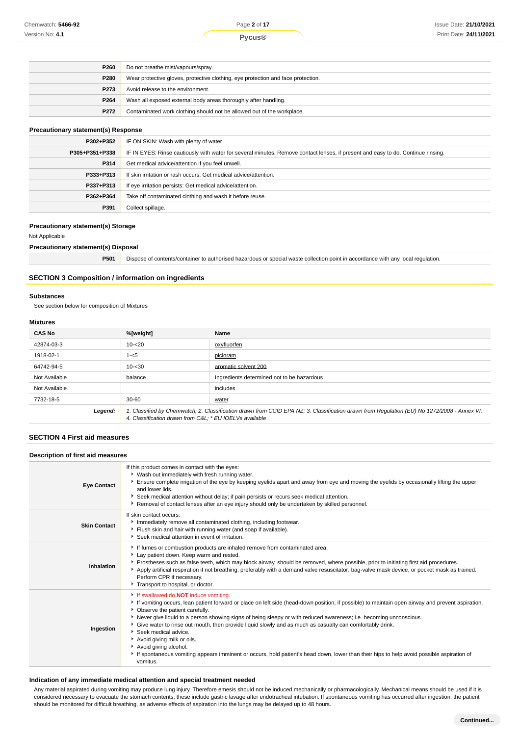| P260 | Do not breathe mist/vapours/spray.                                               |  |
|------|----------------------------------------------------------------------------------|--|
| P280 | Wear protective gloves, protective clothing, eye protection and face protection. |  |
| P273 | Avoid release to the environment.                                                |  |
| P264 | Wash all exposed external body areas thoroughly after handling.                  |  |
| P272 | Contaminated work clothing should not be allowed out of the workplace.           |  |

#### **Precautionary statement(s) Response**

| P302+P352      | IF ON SKIN: Wash with plenty of water.                                                                                           |  |
|----------------|----------------------------------------------------------------------------------------------------------------------------------|--|
| P305+P351+P338 | IF IN EYES: Rinse cautiously with water for several minutes. Remove contact lenses, if present and easy to do. Continue rinsing. |  |
| P314           | Get medical advice/attention if you feel unwell.                                                                                 |  |
| P333+P313      | If skin irritation or rash occurs: Get medical advice/attention.                                                                 |  |
| P337+P313      | If eye irritation persists: Get medical advice/attention.                                                                        |  |
| P362+P364      | Take off contaminated clothing and wash it before reuse.                                                                         |  |
| P391           | Collect spillage.                                                                                                                |  |

#### **Precautionary statement(s) Storage**

Not Applicable

#### **Precautionary statement(s) Disposal**

**P501** Dispose of contents/container to authorised hazardous or special waste collection point in accordance with any local regulation.

## **SECTION 3 Composition / information on ingredients**

#### **Substances**

See section below for composition of Mixtures

# **Mixtures**

| <b>CAS No</b> | %[weight]                                               | Name                                                                                                                                        |
|---------------|---------------------------------------------------------|---------------------------------------------------------------------------------------------------------------------------------------------|
| 42874-03-3    | $10 - 20$                                               | oxyfluorfen                                                                                                                                 |
| 1918-02-1     | $1 - 5$                                                 | picloram                                                                                                                                    |
| 64742-94-5    | $10 - 30$                                               | aromatic solvent 200                                                                                                                        |
| Not Available | balance                                                 | Ingredients determined not to be hazardous                                                                                                  |
| Not Available |                                                         | includes                                                                                                                                    |
| 7732-18-5     | $30 - 60$                                               | water                                                                                                                                       |
| Legend:       | 4. Classification drawn from C&L * EU IOEL Vs available | 1. Classified by Chemwatch; 2. Classification drawn from CCID EPA NZ; 3. Classification drawn from Requlation (EU) No 1272/2008 - Annex VI; |

## **SECTION 4 First aid measures**

# **Description of first aid measures**

| <b>Eye Contact</b>  | If this product comes in contact with the eyes:<br>▶ Wash out immediately with fresh running water.<br>Ensure complete irrigation of the eye by keeping eyelids apart and away from eye and moving the eyelids by occasionally lifting the upper<br>and lower lids.<br>▶ Seek medical attention without delay; if pain persists or recurs seek medical attention.<br>Removal of contact lenses after an eye injury should only be undertaken by skilled personnel.                                                                                                                                                                                                                                          |
|---------------------|-------------------------------------------------------------------------------------------------------------------------------------------------------------------------------------------------------------------------------------------------------------------------------------------------------------------------------------------------------------------------------------------------------------------------------------------------------------------------------------------------------------------------------------------------------------------------------------------------------------------------------------------------------------------------------------------------------------|
| <b>Skin Contact</b> | If skin contact occurs:<br>Immediately remove all contaminated clothing, including footwear.<br>Flush skin and hair with running water (and soap if available).<br>Seek medical attention in event of irritation.                                                                                                                                                                                                                                                                                                                                                                                                                                                                                           |
| Inhalation          | If fumes or combustion products are inhaled remove from contaminated area.<br>Lay patient down. Keep warm and rested.<br>Prostheses such as false teeth, which may block airway, should be removed, where possible, prior to initiating first aid procedures.<br>Apply artificial respiration if not breathing, preferably with a demand valve resuscitator, bag-valve mask device, or pocket mask as trained.<br>Perform CPR if necessary.<br>Transport to hospital, or doctor.                                                                                                                                                                                                                            |
| Ingestion           | If swallowed do <b>NOT</b> induce vomiting.<br>If vomiting occurs, lean patient forward or place on left side (head-down position, if possible) to maintain open airway and prevent aspiration.<br>• Observe the patient carefully.<br>Never give liquid to a person showing signs of being sleepy or with reduced awareness; i.e. becoming unconscious.<br>Give water to rinse out mouth, then provide liquid slowly and as much as casualty can comfortably drink.<br>Seek medical advice.<br>Avoid giving milk or oils.<br>Avoid giving alcohol.<br>If spontaneous vomiting appears imminent or occurs, hold patient's head down, lower than their hips to help avoid possible aspiration of<br>vomitus. |

#### **Indication of any immediate medical attention and special treatment needed**

Any material aspirated during vomiting may produce lung injury. Therefore emesis should not be induced mechanically or pharmacologically. Mechanical means should be used if it is considered necessary to evacuate the stomach contents; these include gastric lavage after endotracheal intubation. If spontaneous vomiting has occurred after ingestion, the patient should be monitored for difficult breathing, as adverse effects of aspiration into the lungs may be delayed up to 48 hours.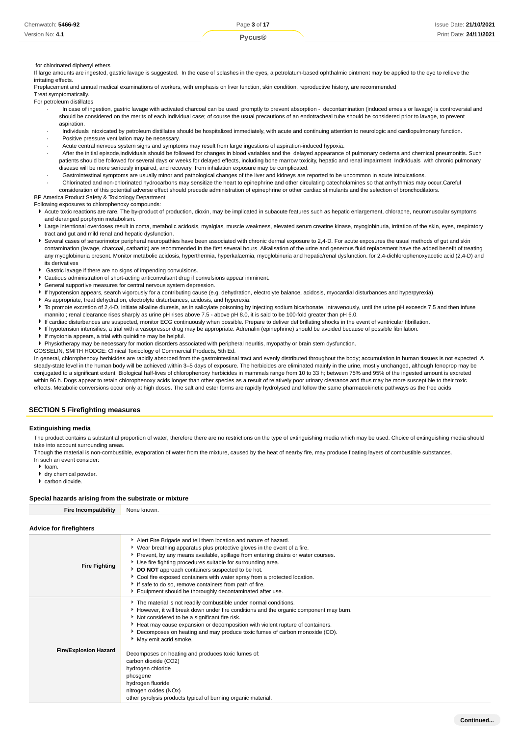#### for chlorinated diphenyl ethers

If large amounts are ingested, gastric lavage is suggested. In the case of splashes in the eyes, a petrolatum-based ophthalmic ointment may be applied to the eye to relieve the irritating effects.

Preplacement and annual medical examinations of workers, with emphasis on liver function, skin condition, reproductive history, are recommended

Treat symptomatically. For petroleum distillates

- · In case of ingestion, gastric lavage with activated charcoal can be used promptly to prevent absorption decontamination (induced emesis or lavage) is controversial and should be considered on the merits of each individual case; of course the usual precautions of an endotracheal tube should be considered prior to lavage, to prevent aspiration.
- · Individuals intoxicated by petroleum distillates should be hospitalized immediately, with acute and continuing attention to neurologic and cardiopulmonary function.
- Positive pressure ventilation may be necessary.
- · Acute central nervous system signs and symptoms may result from large ingestions of aspiration-induced hypoxia.
- · After the initial episode,individuals should be followed for changes in blood variables and the delayed appearance of pulmonary oedema and chemical pneumonitis. Such patients should be followed for several days or weeks for delayed effects, including bone marrow toxicity, hepatic and renal impairment Individuals with chronic pulmonary disease will be more seriously impaired, and recovery from inhalation exposure may be complicated.
- · Gastrointestinal symptoms are usually minor and pathological changes of the liver and kidneys are reported to be uncommon in acute intoxications.
- · Chlorinated and non-chlorinated hydrocarbons may sensitize the heart to epinephrine and other circulating catecholamines so that arrhythmias may occur.Careful
- consideration of this potential adverse effect should precede administration of epinephrine or other cardiac stimulants and the selection of bronchodilators.

BP America Product Safety & Toxicology Department

Following exposures to chlorophenoxy compounds:

- Acute toxic reactions are rare. The by-product of production, dioxin, may be implicated in subacute features such as hepatic enlargement, chloracne, neuromuscular symptoms and deranged porphyrin metabolism.
- Large intentional overdoses result in coma, metabolic acidosis, myalgias, muscle weakness, elevated serum creatine kinase, myoglobinuria, irritation of the skin, eyes, respiratory tract and gut and mild renal and hepatic dysfunction.
- Several cases of sensorimotor peripheral neuropathies have been associated with chronic dermal exposure to 2,4-D. For acute exposures the usual methods of gut and skin contamination (lavage, charcoal, cathartic) are recommended in the first several hours. Alkalisation of the urine and generous fluid replacement have the added benefit of treating any myoglobinuria present. Monitor metabolic acidosis, hyperthermia, hyperkalaemia, myoglobinuria and hepatic/renal dysfunction. for 2,4-dichlorophenoxyacetic acid (2,4-D) and its derivatives
- Gastric lavage if there are no signs of impending convulsions.
- Cautious administration of short-acting anticonvulsant drug if convulsions appear imminent.
- General supportive measures for central nervous system depression.
- If hypotension appears, search vigorously for a contributing cause (e.g. dehydration, electrolyte balance, acidosis, myocardial disturbances and hyperpyrexia).
- As appropriate, treat dehydration, electrolyte disturbances, acidosis, and hyperexia.
- To promote excretion of 2,4-D, initiate alkaline diuresis, as in salicylate poisoning by injecting sodium bicarbonate, intravenously, until the urine pH exceeds 7.5 and then infuse mannitol; renal clearance rises sharply as urine pH rises above 7.5 - above pH 8.0, it is said to be 100-fold greater than pH 6.0.
- If cardiac disturbances are suspected, monitor ECG continuously when possible. Prepare to deliver defibrillating shocks in the event of ventricular fibrillation.
- If hypotension intensifies, a trial with a vasopressor drug may be appropriate. Adrenalin (epinephrine) should be avoided because of possible fibrillation.
- If myotonia appears, a trial with quinidine may be helpful.
- Physiotherapy may be necessary for motion disorders associated with peripheral neuritis, myopathy or brain stem dysfunction.
- GOSSELIN, SMITH HODGE: Clinical Toxicology of Commercial Products, 5th Ed.

In general, chlorophenoxy herbicides are rapidly absorbed from the gastrointestinal tract and evenly distributed throughout the body; accumulation in human tissues is not expected A steady-state level in the human body will be achieved within 3–5 days of exposure. The herbicides are eliminated mainly in the urine, mostly unchanged, although fenoprop may be conjugated to a significant extent Biological half-lives of chlorophenoxy herbicides in mammals range from 10 to 33 h; between 75% and 95% of the ingested amount is excreted within 96 h. Dogs appear to retain chlorophenoxy acids longer than other species as a result of relatively poor urinary clearance and thus may be more susceptible to their toxic effects. Metabolic conversions occur only at high doses. The salt and ester forms are rapidly hydrolysed and follow the same pharmacokinetic pathways as the free acids

#### **SECTION 5 Firefighting measures**

#### **Extinguishing media**

The product contains a substantial proportion of water, therefore there are no restrictions on the type of extinguishing media which may be used. Choice of extinguishing media should take into account surrounding areas.

Though the material is non-combustible, evaporation of water from the mixture, caused by the heat of nearby fire, may produce floating layers of combustible substances.

- In such an event consider:
	- $h$  foam.
	- dry chemical powder.
	- carbon dioxide.

#### **Special hazards arising from the substrate or mixture**

| Fire Incompatibility<br>None known. |
|-------------------------------------|
|                                     |
| <b>Advice for firefighters</b>      |

| <b>Fire Fighting</b>         | Alert Fire Brigade and tell them location and nature of hazard.<br>▶ Wear breathing apparatus plus protective gloves in the event of a fire.<br>▶ Prevent, by any means available, spillage from entering drains or water courses.<br>Use fire fighting procedures suitable for surrounding area.<br>DO NOT approach containers suspected to be hot.<br>Cool fire exposed containers with water spray from a protected location.<br>If safe to do so, remove containers from path of fire.<br>Equipment should be thoroughly decontaminated after use. |
|------------------------------|--------------------------------------------------------------------------------------------------------------------------------------------------------------------------------------------------------------------------------------------------------------------------------------------------------------------------------------------------------------------------------------------------------------------------------------------------------------------------------------------------------------------------------------------------------|
| <b>Fire/Explosion Hazard</b> | The material is not readily combustible under normal conditions.<br>However, it will break down under fire conditions and the organic component may burn.<br>Not considered to be a significant fire risk.<br>► Heat may cause expansion or decomposition with violent rupture of containers.<br>▶ Decomposes on heating and may produce toxic fumes of carbon monoxide (CO).<br>May emit acrid smoke.<br>Decomposes on heating and produces toxic fumes of:<br>carbon dioxide (CO2)                                                                   |
|                              | hydrogen chloride<br>phosgene<br>hydrogen fluoride<br>nitrogen oxides (NOx)<br>other pyrolysis products typical of burning organic material.                                                                                                                                                                                                                                                                                                                                                                                                           |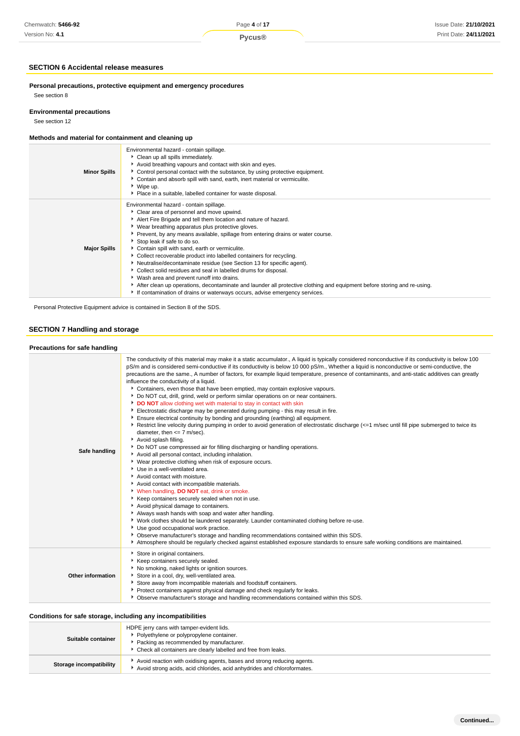## **SECTION 6 Accidental release measures**

**Personal precautions, protective equipment and emergency procedures** See section 8

## **Environmental precautions**

See section 12

## **Methods and material for containment and cleaning up**

| Environmental hazard - contain spillage.<br>Clean up all spills immediately.<br>Avoid breathing vapours and contact with skin and eyes.<br><b>Minor Spills</b><br>► Control personal contact with the substance, by using protective equipment.<br>• Contain and absorb spill with sand, earth, inert material or vermiculite.<br>▶ Wipe up.<br>• Place in a suitable, labelled container for waste disposal.<br>Environmental hazard - contain spillage.<br>• Clear area of personnel and move upwind.<br>Alert Fire Brigade and tell them location and nature of hazard.<br>▶ Wear breathing apparatus plus protective gloves.<br>▶ Prevent, by any means available, spillage from entering drains or water course.<br>Stop leak if safe to do so.<br>Contain spill with sand, earth or vermiculite.<br><b>Major Spills</b><br>• Collect recoverable product into labelled containers for recycling.<br>Neutralise/decontaminate residue (see Section 13 for specific agent).<br>Collect solid residues and seal in labelled drums for disposal.<br>▶ Wash area and prevent runoff into drains.<br>After clean up operations, decontaminate and launder all protective clothing and equipment before storing and re-using.<br>If contamination of drains or waterways occurs, advise emergency services. |  |
|------------------------------------------------------------------------------------------------------------------------------------------------------------------------------------------------------------------------------------------------------------------------------------------------------------------------------------------------------------------------------------------------------------------------------------------------------------------------------------------------------------------------------------------------------------------------------------------------------------------------------------------------------------------------------------------------------------------------------------------------------------------------------------------------------------------------------------------------------------------------------------------------------------------------------------------------------------------------------------------------------------------------------------------------------------------------------------------------------------------------------------------------------------------------------------------------------------------------------------------------------------------------------------------------------------|--|
|                                                                                                                                                                                                                                                                                                                                                                                                                                                                                                                                                                                                                                                                                                                                                                                                                                                                                                                                                                                                                                                                                                                                                                                                                                                                                                            |  |
|                                                                                                                                                                                                                                                                                                                                                                                                                                                                                                                                                                                                                                                                                                                                                                                                                                                                                                                                                                                                                                                                                                                                                                                                                                                                                                            |  |

Personal Protective Equipment advice is contained in Section 8 of the SDS.

# **SECTION 7 Handling and storage**

# **Precautions for safe handling**

| Precautions for safe nanuling |                                                                                                                                                                                                                                                                                                                                                                                                                                                                                                                                                                                                                                                                                                                                                                                                                                                                                                                                                                                                                                                                                                                                                                                                                                                                                                                                                                                                                                                                                                                                                                                                                                                                                                                                                                                                                                                                                                                                                                                                                                    |
|-------------------------------|------------------------------------------------------------------------------------------------------------------------------------------------------------------------------------------------------------------------------------------------------------------------------------------------------------------------------------------------------------------------------------------------------------------------------------------------------------------------------------------------------------------------------------------------------------------------------------------------------------------------------------------------------------------------------------------------------------------------------------------------------------------------------------------------------------------------------------------------------------------------------------------------------------------------------------------------------------------------------------------------------------------------------------------------------------------------------------------------------------------------------------------------------------------------------------------------------------------------------------------------------------------------------------------------------------------------------------------------------------------------------------------------------------------------------------------------------------------------------------------------------------------------------------------------------------------------------------------------------------------------------------------------------------------------------------------------------------------------------------------------------------------------------------------------------------------------------------------------------------------------------------------------------------------------------------------------------------------------------------------------------------------------------------|
| Safe handling                 | The conductivity of this material may make it a static accumulator., A liquid is typically considered nonconductive if its conductivity is below 100<br>pS/m and is considered semi-conductive if its conductivity is below 10 000 pS/m., Whether a liquid is nonconductive or semi-conductive, the<br>precautions are the same., A number of factors, for example liquid temperature, presence of contaminants, and anti-static additives can greatly<br>influence the conductivity of a liquid.<br>▶ Containers, even those that have been emptied, may contain explosive vapours.<br>Do NOT cut, drill, grind, weld or perform similar operations on or near containers.<br>DO NOT allow clothing wet with material to stay in contact with skin<br>Electrostatic discharge may be generated during pumping - this may result in fire.<br>Ensure electrical continuity by bonding and grounding (earthing) all equipment.<br>Restrict line velocity during pumping in order to avoid generation of electrostatic discharge (<=1 m/sec until fill pipe submerged to twice its<br>diameter, then $<= 7$ m/sec).<br>Avoid splash filling.<br>Do NOT use compressed air for filling discharging or handling operations.<br>Avoid all personal contact, including inhalation.<br>▶ Wear protective clothing when risk of exposure occurs.<br>Use in a well-ventilated area.<br>Avoid contact with moisture.<br>Avoid contact with incompatible materials.<br>V When handling, DO NOT eat, drink or smoke.<br>Keep containers securely sealed when not in use.<br>Avoid physical damage to containers.<br>Always wash hands with soap and water after handling.<br>▶ Work clothes should be laundered separately. Launder contaminated clothing before re-use.<br>Use good occupational work practice.<br>• Observe manufacturer's storage and handling recommendations contained within this SDS.<br>Atmosphere should be regularly checked against established exposure standards to ensure safe working conditions are maintained. |
| Other information             | Store in original containers.<br>Keep containers securely sealed.<br>No smoking, naked lights or ignition sources.<br>Store in a cool, dry, well-ventilated area.<br>Store away from incompatible materials and foodstuff containers.<br>Protect containers against physical damage and check regularly for leaks.<br>• Observe manufacturer's storage and handling recommendations contained within this SDS.                                                                                                                                                                                                                                                                                                                                                                                                                                                                                                                                                                                                                                                                                                                                                                                                                                                                                                                                                                                                                                                                                                                                                                                                                                                                                                                                                                                                                                                                                                                                                                                                                     |

# **Conditions for safe storage, including any incompatibilities**

| Suitable container      | HDPE jerry cans with tamper-evident lids.<br>Polyethylene or polypropylene container.<br>Packing as recommended by manufacturer.<br>Check all containers are clearly labelled and free from leaks. |
|-------------------------|----------------------------------------------------------------------------------------------------------------------------------------------------------------------------------------------------|
| Storage incompatibility | Avoid reaction with oxidising agents, bases and strong reducing agents.<br>Avoid strong acids, acid chlorides, acid anhydrides and chloroformates.                                                 |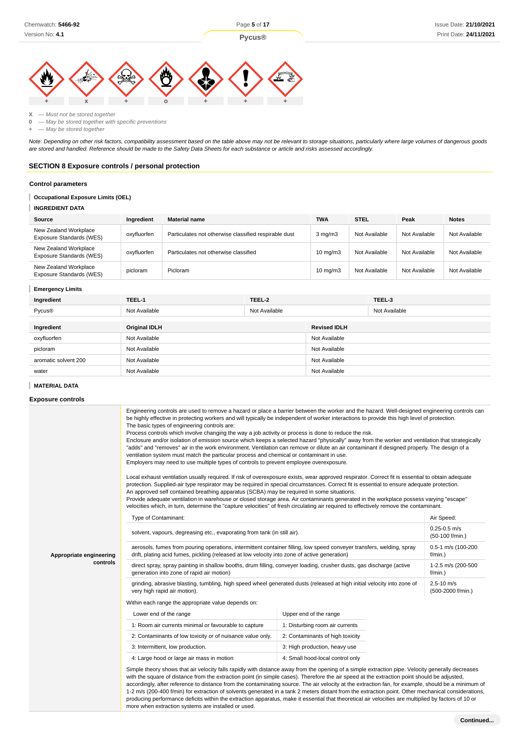

**X** — Must not be stored together

**0** — May be stored together with specific preventions

**+** — May be stored together

Note: Depending on other risk factors, compatibility assessment based on the table above may not be relevant to storage situations, particularly where large volumes of dangerous goods are stored and handled. Reference should be made to the Safety Data Sheets for each substance or article and risks assessed accordingly.

## **SECTION 8 Exposure controls / personal protection**

#### **Control parameters**

#### I **Occupational Exposure Limits (OEL)**

**INGREDIENT DATA**

| Source                                            | Ingredient  | <b>Material name</b>                                  | <b>TWA</b>        | <b>STEL</b>   | Peak          | <b>Notes</b>  |
|---------------------------------------------------|-------------|-------------------------------------------------------|-------------------|---------------|---------------|---------------|
| New Zealand Workplace<br>Exposure Standards (WES) | oxyfluorfen | Particulates not otherwise classified respirable dust | $3 \text{ mg/m}$  | Not Available | Not Available | Not Available |
| New Zealand Workplace<br>Exposure Standards (WES) | oxyfluorfen | Particulates not otherwise classified                 | $10 \text{ mg/m}$ | Not Available | Not Available | Not Available |
| New Zealand Workplace<br>Exposure Standards (WES) | picloram    | <b>Picloram</b>                                       | $10 \text{ mg/m}$ | Not Available | Not Available | Not Available |

#### **Emergency Limits**

| Ingredient           | TEEL-1               | TEEL-2        |                     | TEEL-3        |
|----------------------|----------------------|---------------|---------------------|---------------|
| Pycus <sup>®</sup>   | Not Available        | Not Available |                     | Not Available |
|                      |                      |               |                     |               |
| Ingredient           | <b>Original IDLH</b> |               | <b>Revised IDLH</b> |               |
| oxyfluorfen          | Not Available        |               | Not Available       |               |
| picloram             | Not Available        |               | Not Available       |               |
| aromatic solvent 200 | Not Available        |               | Not Available       |               |
| water                | Not Available        |               | Not Available       |               |

#### **MATERIAL DATA**

**Exposure controls**

|                         | Engineering controls are used to remove a hazard or place a barrier between the worker and the hazard. Well-designed engineering controls can<br>be highly effective in protecting workers and will typically be independent of worker interactions to provide this high level of protection.<br>The basic types of engineering controls are:<br>Process controls which involve changing the way a job activity or process is done to reduce the risk.<br>Enclosure and/or isolation of emission source which keeps a selected hazard "physically" away from the worker and ventilation that strategically<br>"adds" and "removes" air in the work environment. Ventilation can remove or dilute an air contaminant if designed properly. The design of a<br>ventilation system must match the particular process and chemical or contaminant in use.<br>Employers may need to use multiple types of controls to prevent employee overexposure.<br>Local exhaust ventilation usually required. If risk of overexposure exists, wear approved respirator. Correct fit is essential to obtain adequate<br>protection. Supplied-air type respirator may be required in special circumstances. Correct fit is essential to ensure adequate protection.<br>An approved self contained breathing apparatus (SCBA) may be required in some situations.<br>Provide adequate ventilation in warehouse or closed storage area. Air contaminants generated in the workplace possess varying "escape"<br>velocities which, in turn, determine the "capture velocities" of fresh circulating air required to effectively remove the contaminant. |                                     |                                  |  |  |
|-------------------------|-------------------------------------------------------------------------------------------------------------------------------------------------------------------------------------------------------------------------------------------------------------------------------------------------------------------------------------------------------------------------------------------------------------------------------------------------------------------------------------------------------------------------------------------------------------------------------------------------------------------------------------------------------------------------------------------------------------------------------------------------------------------------------------------------------------------------------------------------------------------------------------------------------------------------------------------------------------------------------------------------------------------------------------------------------------------------------------------------------------------------------------------------------------------------------------------------------------------------------------------------------------------------------------------------------------------------------------------------------------------------------------------------------------------------------------------------------------------------------------------------------------------------------------------------------------------------------------------------------------------------------------|-------------------------------------|----------------------------------|--|--|
|                         | Type of Contaminant:                                                                                                                                                                                                                                                                                                                                                                                                                                                                                                                                                                                                                                                                                                                                                                                                                                                                                                                                                                                                                                                                                                                                                                                                                                                                                                                                                                                                                                                                                                                                                                                                                |                                     | Air Speed:                       |  |  |
|                         | solvent, vapours, degreasing etc., evaporating from tank (in still air).                                                                                                                                                                                                                                                                                                                                                                                                                                                                                                                                                                                                                                                                                                                                                                                                                                                                                                                                                                                                                                                                                                                                                                                                                                                                                                                                                                                                                                                                                                                                                            | $0.25 - 0.5$ m/s<br>(50-100 f/min.) |                                  |  |  |
| Appropriate engineering | aerosols, fumes from pouring operations, intermittent container filling, low speed conveyer transfers, welding, spray<br>drift, plating acid fumes, pickling (released at low velocity into zone of active generation)                                                                                                                                                                                                                                                                                                                                                                                                                                                                                                                                                                                                                                                                                                                                                                                                                                                                                                                                                                                                                                                                                                                                                                                                                                                                                                                                                                                                              |                                     | 0.5-1 m/s (100-200<br>$f/min.$ ) |  |  |
| controls                | direct spray, spray painting in shallow booths, drum filling, conveyer loading, crusher dusts, gas discharge (active<br>1-2.5 m/s (200-500<br>generation into zone of rapid air motion)<br>f/min.)                                                                                                                                                                                                                                                                                                                                                                                                                                                                                                                                                                                                                                                                                                                                                                                                                                                                                                                                                                                                                                                                                                                                                                                                                                                                                                                                                                                                                                  |                                     |                                  |  |  |
|                         | $2.5 - 10$ m/s<br>grinding, abrasive blasting, tumbling, high speed wheel generated dusts (released at high initial velocity into zone of<br>(500-2000 f/min.)<br>very high rapid air motion).                                                                                                                                                                                                                                                                                                                                                                                                                                                                                                                                                                                                                                                                                                                                                                                                                                                                                                                                                                                                                                                                                                                                                                                                                                                                                                                                                                                                                                      |                                     |                                  |  |  |
|                         | Within each range the appropriate value depends on:                                                                                                                                                                                                                                                                                                                                                                                                                                                                                                                                                                                                                                                                                                                                                                                                                                                                                                                                                                                                                                                                                                                                                                                                                                                                                                                                                                                                                                                                                                                                                                                 |                                     |                                  |  |  |
|                         | Lower end of the range                                                                                                                                                                                                                                                                                                                                                                                                                                                                                                                                                                                                                                                                                                                                                                                                                                                                                                                                                                                                                                                                                                                                                                                                                                                                                                                                                                                                                                                                                                                                                                                                              | Upper end of the range              |                                  |  |  |
|                         | 1: Room air currents minimal or favourable to capture                                                                                                                                                                                                                                                                                                                                                                                                                                                                                                                                                                                                                                                                                                                                                                                                                                                                                                                                                                                                                                                                                                                                                                                                                                                                                                                                                                                                                                                                                                                                                                               | 1: Disturbing room air currents     |                                  |  |  |
|                         | 2: Contaminants of low toxicity or of nuisance value only.                                                                                                                                                                                                                                                                                                                                                                                                                                                                                                                                                                                                                                                                                                                                                                                                                                                                                                                                                                                                                                                                                                                                                                                                                                                                                                                                                                                                                                                                                                                                                                          | 2: Contaminants of high toxicity    |                                  |  |  |
|                         | 3: Intermittent, low production.                                                                                                                                                                                                                                                                                                                                                                                                                                                                                                                                                                                                                                                                                                                                                                                                                                                                                                                                                                                                                                                                                                                                                                                                                                                                                                                                                                                                                                                                                                                                                                                                    | 3: High production, heavy use       |                                  |  |  |
|                         | 4: Large hood or large air mass in motion                                                                                                                                                                                                                                                                                                                                                                                                                                                                                                                                                                                                                                                                                                                                                                                                                                                                                                                                                                                                                                                                                                                                                                                                                                                                                                                                                                                                                                                                                                                                                                                           | 4: Small hood-local control only    |                                  |  |  |
|                         | Simple theory shows that air velocity falls rapidly with distance away from the opening of a simple extraction pipe. Velocity generally decreases<br>with the square of distance from the extraction point (in simple cases). Therefore the air speed at the extraction point should be adjusted,<br>accordingly, after reference to distance from the contaminating source. The air velocity at the extraction fan, for example, should be a minimum of<br>1-2 m/s (200-400 f/min) for extraction of solvents generated in a tank 2 meters distant from the extraction point. Other mechanical considerations,<br>producing performance deficits within the extraction apparatus, make it essential that theoretical air velocities are multiplied by factors of 10 or<br>more when extraction systems are installed or used.                                                                                                                                                                                                                                                                                                                                                                                                                                                                                                                                                                                                                                                                                                                                                                                                      |                                     |                                  |  |  |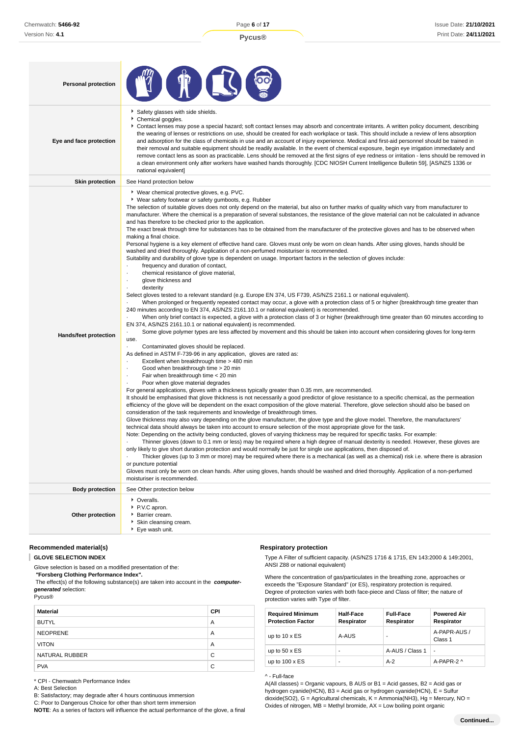| <b>Personal protection</b>   |                                                                                                                                                                                                                                                                                                                                                                                                                                                                                                                                                                                                                                                                                                                                                                                                                                                                                                                                                                                                                                                                                                                                                                                                                                                                                                                                                                                                                                                                                                                                                                                                                                                                                                                                                                                                                                                                                                                                                                                                                                                                                                                                                                                                                                                                                                                                                                                                                                                                                                                                                                                                                                                                                                                                                                                                                                                                                                                                                                                                                                                                                                                                                                                                                                                                                                                                                                                                                                                                                                                                                                                                                                                                                               |
|------------------------------|-----------------------------------------------------------------------------------------------------------------------------------------------------------------------------------------------------------------------------------------------------------------------------------------------------------------------------------------------------------------------------------------------------------------------------------------------------------------------------------------------------------------------------------------------------------------------------------------------------------------------------------------------------------------------------------------------------------------------------------------------------------------------------------------------------------------------------------------------------------------------------------------------------------------------------------------------------------------------------------------------------------------------------------------------------------------------------------------------------------------------------------------------------------------------------------------------------------------------------------------------------------------------------------------------------------------------------------------------------------------------------------------------------------------------------------------------------------------------------------------------------------------------------------------------------------------------------------------------------------------------------------------------------------------------------------------------------------------------------------------------------------------------------------------------------------------------------------------------------------------------------------------------------------------------------------------------------------------------------------------------------------------------------------------------------------------------------------------------------------------------------------------------------------------------------------------------------------------------------------------------------------------------------------------------------------------------------------------------------------------------------------------------------------------------------------------------------------------------------------------------------------------------------------------------------------------------------------------------------------------------------------------------------------------------------------------------------------------------------------------------------------------------------------------------------------------------------------------------------------------------------------------------------------------------------------------------------------------------------------------------------------------------------------------------------------------------------------------------------------------------------------------------------------------------------------------------------------------------------------------------------------------------------------------------------------------------------------------------------------------------------------------------------------------------------------------------------------------------------------------------------------------------------------------------------------------------------------------------------------------------------------------------------------------------------------------------|
| Eye and face protection      | Safety glasses with side shields.<br>Chemical goggles.<br>▶ Contact lenses may pose a special hazard; soft contact lenses may absorb and concentrate irritants. A written policy document, describing<br>the wearing of lenses or restrictions on use, should be created for each workplace or task. This should include a review of lens absorption<br>and adsorption for the class of chemicals in use and an account of injury experience. Medical and first-aid personnel should be trained in<br>their removal and suitable equipment should be readily available. In the event of chemical exposure, begin eye irrigation immediately and<br>remove contact lens as soon as practicable. Lens should be removed at the first signs of eye redness or irritation - lens should be removed in<br>a clean environment only after workers have washed hands thoroughly. [CDC NIOSH Current Intelligence Bulletin 59], [AS/NZS 1336 or<br>national equivalent]                                                                                                                                                                                                                                                                                                                                                                                                                                                                                                                                                                                                                                                                                                                                                                                                                                                                                                                                                                                                                                                                                                                                                                                                                                                                                                                                                                                                                                                                                                                                                                                                                                                                                                                                                                                                                                                                                                                                                                                                                                                                                                                                                                                                                                                                                                                                                                                                                                                                                                                                                                                                                                                                                                                               |
| <b>Skin protection</b>       | See Hand protection below                                                                                                                                                                                                                                                                                                                                                                                                                                                                                                                                                                                                                                                                                                                                                                                                                                                                                                                                                                                                                                                                                                                                                                                                                                                                                                                                                                                                                                                                                                                                                                                                                                                                                                                                                                                                                                                                                                                                                                                                                                                                                                                                                                                                                                                                                                                                                                                                                                                                                                                                                                                                                                                                                                                                                                                                                                                                                                                                                                                                                                                                                                                                                                                                                                                                                                                                                                                                                                                                                                                                                                                                                                                                     |
| <b>Hands/feet protection</b> | ▶ Wear chemical protective gloves, e.g. PVC.<br>▶ Wear safety footwear or safety gumboots, e.g. Rubber<br>The selection of suitable gloves does not only depend on the material, but also on further marks of quality which vary from manufacturer to<br>manufacturer. Where the chemical is a preparation of several substances, the resistance of the glove material can not be calculated in advance<br>and has therefore to be checked prior to the application.<br>The exact break through time for substances has to be obtained from the manufacturer of the protective gloves and has to be observed when<br>making a final choice.<br>Personal hygiene is a key element of effective hand care. Gloves must only be worn on clean hands. After using gloves, hands should be<br>washed and dried thoroughly. Application of a non-perfumed moisturiser is recommended.<br>Suitability and durability of glove type is dependent on usage. Important factors in the selection of gloves include:<br>frequency and duration of contact,<br>chemical resistance of glove material,<br>٠<br>glove thickness and<br>٠<br>dexterity<br>٠<br>Select gloves tested to a relevant standard (e.g. Europe EN 374, US F739, AS/NZS 2161.1 or national equivalent).<br>When prolonged or frequently repeated contact may occur, a glove with a protection class of 5 or higher (breakthrough time greater than<br>240 minutes according to EN 374, AS/NZS 2161.10.1 or national equivalent) is recommended.<br>When only brief contact is expected, a glove with a protection class of 3 or higher (breakthrough time greater than 60 minutes according to<br>EN 374, AS/NZS 2161.10.1 or national equivalent) is recommended.<br>Some glove polymer types are less affected by movement and this should be taken into account when considering gloves for long-term<br>use.<br>Contaminated gloves should be replaced.<br>$\cdot$<br>As defined in ASTM F-739-96 in any application, gloves are rated as:<br>Excellent when breakthrough time > 480 min<br>Good when breakthrough time > 20 min<br>Fair when breakthrough time < 20 min<br>Poor when glove material degrades<br>$\cdot$<br>For general applications, gloves with a thickness typically greater than 0.35 mm, are recommended.<br>It should be emphasised that glove thickness is not necessarily a good predictor of glove resistance to a specific chemical, as the permeation<br>efficiency of the glove will be dependent on the exact composition of the glove material. Therefore, glove selection should also be based on<br>consideration of the task requirements and knowledge of breakthrough times.<br>Glove thickness may also vary depending on the glove manufacturer, the glove type and the glove model. Therefore, the manufacturers'<br>technical data should always be taken into account to ensure selection of the most appropriate glove for the task.<br>Note: Depending on the activity being conducted, gloves of varying thickness may be required for specific tasks. For example:<br>Thinner gloves (down to 0.1 mm or less) may be required where a high degree of manual dexterity is needed. However, these gloves are<br>only likely to give short duration protection and would normally be just for single use applications, then disposed of.<br>Thicker gloves (up to 3 mm or more) may be required where there is a mechanical (as well as a chemical) risk i.e. where there is abrasion<br>or puncture potential<br>Gloves must only be worn on clean hands. After using gloves, hands should be washed and dried thoroughly. Application of a non-perfumed<br>moisturiser is recommended. |
| <b>Body protection</b>       | See Other protection below                                                                                                                                                                                                                                                                                                                                                                                                                                                                                                                                                                                                                                                                                                                                                                                                                                                                                                                                                                                                                                                                                                                                                                                                                                                                                                                                                                                                                                                                                                                                                                                                                                                                                                                                                                                                                                                                                                                                                                                                                                                                                                                                                                                                                                                                                                                                                                                                                                                                                                                                                                                                                                                                                                                                                                                                                                                                                                                                                                                                                                                                                                                                                                                                                                                                                                                                                                                                                                                                                                                                                                                                                                                                    |
|                              | • Overalls.                                                                                                                                                                                                                                                                                                                                                                                                                                                                                                                                                                                                                                                                                                                                                                                                                                                                                                                                                                                                                                                                                                                                                                                                                                                                                                                                                                                                                                                                                                                                                                                                                                                                                                                                                                                                                                                                                                                                                                                                                                                                                                                                                                                                                                                                                                                                                                                                                                                                                                                                                                                                                                                                                                                                                                                                                                                                                                                                                                                                                                                                                                                                                                                                                                                                                                                                                                                                                                                                                                                                                                                                                                                                                   |
| Other protection             | P.V.C apron.<br>Barrier cream.<br>Skin cleansing cream.<br>Eye wash unit.                                                                                                                                                                                                                                                                                                                                                                                                                                                                                                                                                                                                                                                                                                                                                                                                                                                                                                                                                                                                                                                                                                                                                                                                                                                                                                                                                                                                                                                                                                                                                                                                                                                                                                                                                                                                                                                                                                                                                                                                                                                                                                                                                                                                                                                                                                                                                                                                                                                                                                                                                                                                                                                                                                                                                                                                                                                                                                                                                                                                                                                                                                                                                                                                                                                                                                                                                                                                                                                                                                                                                                                                                     |

#### **Recommended material(s)**

#### **GLOVE SELECTION INDEX**

Glove selection is based on a modified presentation of the:  **"Forsberg Clothing Performance Index".**

 The effect(s) of the following substance(s) are taken into account in the **computergenerated** selection:

Pycus®

| <b>Material</b> | <b>CPI</b> |
|-----------------|------------|
| <b>BUTYL</b>    | A          |
| <b>NEOPRENE</b> | A          |
| <b>VITON</b>    | A          |
| NATURAL RUBBER  | C          |
| <b>PVA</b>      | C          |

\* CPI - Chemwatch Performance Index

A: Best Selection

B: Satisfactory; may degrade after 4 hours continuous immersion

C: Poor to Dangerous Choice for other than short term immersion **NOTE**: As a series of factors will influence the actual performance of the glove, a final

#### **Respiratory protection**

Type A Filter of sufficient capacity. (AS/NZS 1716 & 1715, EN 143:2000 & 149:2001, ANSI Z88 or national equivalent)

Where the concentration of gas/particulates in the breathing zone, approaches or exceeds the "Exposure Standard" (or ES), respiratory protection is required. Degree of protection varies with both face-piece and Class of filter; the nature of protection varies with Type of filter.

| <b>Required Minimum</b><br><b>Protection Factor</b> | Half-Face<br>Respirator | <b>Full-Face</b><br>Respirator | <b>Powered Air</b><br>Respirator |
|-----------------------------------------------------|-------------------------|--------------------------------|----------------------------------|
| up to $10 \times ES$                                | A-AUS                   | ۰                              | A-PAPR-AUS /<br>Class 1          |
| up to $50 \times ES$                                | ۰                       | A-AUS / Class 1                | $\overline{a}$                   |
| up to $100 \times ES$                               | -                       | $A-2$                          | A-PAPR-2 ^                       |

^ - Full-face

A(All classes) = Organic vapours, B AUS or B1 = Acid gasses, B2 = Acid gas or hydrogen cyanide(HCN), B3 = Acid gas or hydrogen cyanide(HCN), E = Sulfur dioxide(SO2), G = Agricultural chemicals, K = Ammonia(NH3), Hg = Mercury, NO = Oxides of nitrogen,  $MB = M$ ethyl bromide,  $AX = Low$  boiling point organic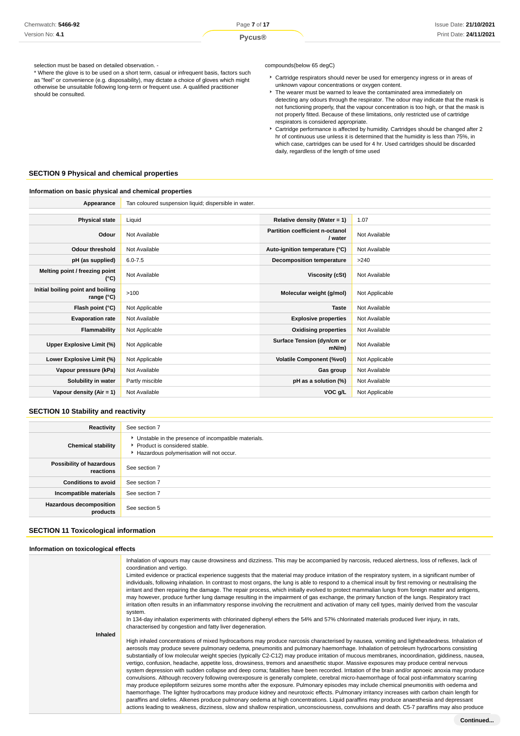\* Where the glove is to be used on a short term, casual or infrequent basis, factors such as "feel" or convenience (e.g. disposability), may dictate a choice of gloves which might otherwise be unsuitable following long-term or frequent use. A qualified practitioner should be consulted.

compounds(below 65 degC)

- Cartridge respirators should never be used for emergency ingress or in areas of unknown vapour concentrations or oxygen content.
- $\blacktriangleright$  The wearer must be warned to leave the contaminated area immediately on detecting any odours through the respirator. The odour may indicate that the mask is not functioning properly, that the vapour concentration is too high, or that the mask is not properly fitted. Because of these limitations, only restricted use of cartridge respirators is considered appropriate.
- Cartridge performance is affected by humidity. Cartridges should be changed after 2 hr of continuous use unless it is determined that the humidity is less than 75%, in which case, cartridges can be used for 4 hr. Used cartridges should be discarded daily, regardless of the length of time used

#### **SECTION 9 Physical and chemical properties**

#### **Information on basic physical and chemical properties**

| Appearance                                      | Tan coloured suspension liquid; dispersible in water. |                                            |                |
|-------------------------------------------------|-------------------------------------------------------|--------------------------------------------|----------------|
|                                                 |                                                       |                                            |                |
| <b>Physical state</b>                           | Liquid                                                | Relative density (Water = 1)               | 1.07           |
| Odour                                           | Not Available                                         | Partition coefficient n-octanol<br>/ water | Not Available  |
| <b>Odour threshold</b>                          | Not Available                                         | Auto-ignition temperature (°C)             | Not Available  |
| pH (as supplied)                                | $6.0 - 7.5$                                           | <b>Decomposition temperature</b>           | >240           |
| Melting point / freezing point<br>(°C)          | Not Available                                         | Viscosity (cSt)                            | Not Available  |
| Initial boiling point and boiling<br>range (°C) | >100                                                  | Molecular weight (g/mol)                   | Not Applicable |
| Flash point (°C)                                | Not Applicable                                        | <b>Taste</b>                               | Not Available  |
| <b>Evaporation rate</b>                         | Not Available                                         | <b>Explosive properties</b>                | Not Available  |
| Flammability                                    | Not Applicable                                        | <b>Oxidising properties</b>                | Not Available  |
| Upper Explosive Limit (%)                       | Not Applicable                                        | Surface Tension (dyn/cm or<br>$mN/m$ )     | Not Available  |
| Lower Explosive Limit (%)                       | Not Applicable                                        | <b>Volatile Component (%vol)</b>           | Not Applicable |
| Vapour pressure (kPa)                           | Not Available                                         | Gas group                                  | Not Available  |
| Solubility in water                             | Partly miscible                                       | pH as a solution (%)                       | Not Available  |
| Vapour density (Air = 1)                        | Not Available                                         | VOC g/L                                    | Not Applicable |

#### **SECTION 10 Stability and reactivity**

| Reactivity                                 | See section 7                                                                                                                        |
|--------------------------------------------|--------------------------------------------------------------------------------------------------------------------------------------|
| <b>Chemical stability</b>                  | • Unstable in the presence of incompatible materials.<br>▶ Product is considered stable.<br>Hazardous polymerisation will not occur. |
| Possibility of hazardous<br>reactions      | See section 7                                                                                                                        |
| <b>Conditions to avoid</b>                 | See section 7                                                                                                                        |
| Incompatible materials                     | See section 7                                                                                                                        |
| <b>Hazardous decomposition</b><br>products | See section 5                                                                                                                        |

# **SECTION 11 Toxicological information**

#### **Information on toxicological effects**

|         | Inhalation of vapours may cause drowsiness and dizziness. This may be accompanied by narcosis, reduced alertness, loss of reflexes, lack of<br>coordination and vertigo.                                                                                                                                                                                                                                                                                                                                                                                                                                                                                                                                                                                                                                                                                                                                                                                                                                                                                                                                                                                                                                                                                                                                             |
|---------|----------------------------------------------------------------------------------------------------------------------------------------------------------------------------------------------------------------------------------------------------------------------------------------------------------------------------------------------------------------------------------------------------------------------------------------------------------------------------------------------------------------------------------------------------------------------------------------------------------------------------------------------------------------------------------------------------------------------------------------------------------------------------------------------------------------------------------------------------------------------------------------------------------------------------------------------------------------------------------------------------------------------------------------------------------------------------------------------------------------------------------------------------------------------------------------------------------------------------------------------------------------------------------------------------------------------|
|         | Limited evidence or practical experience suggests that the material may produce irritation of the respiratory system, in a significant number of<br>individuals, following inhalation. In contrast to most organs, the lung is able to respond to a chemical insult by first removing or neutralising the<br>irritant and then repairing the damage. The repair process, which initially evolved to protect mammalian lungs from foreign matter and antigens,<br>may however, produce further lung damage resulting in the impairment of gas exchange, the primary function of the lungs. Respiratory tract<br>irritation often results in an inflammatory response involving the recruitment and activation of many cell types, mainly derived from the vascular<br>system.                                                                                                                                                                                                                                                                                                                                                                                                                                                                                                                                         |
|         | In 134-day inhalation experiments with chlorinated diphenyl ethers the 54% and 57% chlorinated materials produced liver injury, in rats,<br>characterised by congestion and fatty liver degeneration.                                                                                                                                                                                                                                                                                                                                                                                                                                                                                                                                                                                                                                                                                                                                                                                                                                                                                                                                                                                                                                                                                                                |
| Inhaled |                                                                                                                                                                                                                                                                                                                                                                                                                                                                                                                                                                                                                                                                                                                                                                                                                                                                                                                                                                                                                                                                                                                                                                                                                                                                                                                      |
|         | High inhaled concentrations of mixed hydrocarbons may produce narcosis characterised by nausea, vomiting and lightheadedness. Inhalation of<br>aerosols may produce severe pulmonary oedema, pneumonitis and pulmonary haemorrhage. Inhalation of petroleum hydrocarbons consisting<br>substantially of low molecular weight species (typically C2-C12) may produce irritation of mucous membranes, incoordination, giddiness, nausea,<br>vertigo, confusion, headache, appetite loss, drowsiness, tremors and anaesthetic stupor. Massive exposures may produce central nervous<br>system depression with sudden collapse and deep coma; fatalities have been recorded. Irritation of the brain and/or apnoeic anoxia may produce<br>convulsions. Although recovery following overexposure is generally complete, cerebral micro-haemorrhage of focal post-inflammatory scarring<br>may produce epileptiform seizures some months after the exposure. Pulmonary episodes may include chemical pneumonitis with oedema and<br>haemorrhage. The lighter hydrocarbons may produce kidney and neurotoxic effects. Pulmonary irritancy increases with carbon chain length for<br>paraffins and olefins. Alkenes produce pulmonary oedema at high concentrations. Liquid paraffins may produce anaesthesia and depressant |
|         | actions leading to weakness, dizziness, slow and shallow respiration, unconsciousness, convulsions and death. C5-7 paraffins may also produce                                                                                                                                                                                                                                                                                                                                                                                                                                                                                                                                                                                                                                                                                                                                                                                                                                                                                                                                                                                                                                                                                                                                                                        |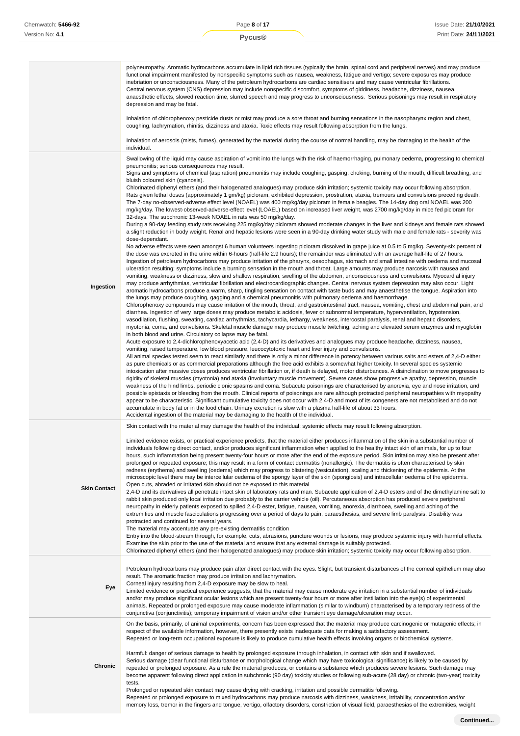|                     | polyneuropathy. Aromatic hydrocarbons accumulate in lipid rich tissues (typically the brain, spinal cord and peripheral nerves) and may produce<br>functional impairment manifested by nonspecific symptoms such as nausea, weakness, fatigue and vertigo; severe exposures may produce<br>inebriation or unconsciousness. Many of the petroleum hydrocarbons are cardiac sensitisers and may cause ventricular fibrillations.<br>Central nervous system (CNS) depression may include nonspecific discomfort, symptoms of giddiness, headache, dizziness, nausea,<br>anaesthetic effects, slowed reaction time, slurred speech and may progress to unconsciousness. Serious poisonings may result in respiratory<br>depression and may be fatal.<br>Inhalation of chlorophenoxy pesticide dusts or mist may produce a sore throat and burning sensations in the nasopharynx region and chest,<br>coughing, lachrymation, rhinitis, dizziness and ataxia. Toxic effects may result following absorption from the lungs.<br>Inhalation of aerosols (mists, fumes), generated by the material during the course of normal handling, may be damaging to the health of the<br>individual.                                                                                                                                                                                                                                                                                                                                                                                                                                                                                                                                                                                                                                                                                                                                                                                                                                                                                                                                                                                                                                                                                                                                                                                                                                                                                                                                                                                                                                                                                                                                                                                                                                                                                                                                                                                                                                                                                                                                                                                                                                                                                                                                                                                                                                                                                                                                                                                                                                                                                                                                                                                                                                                                                                                                                                                                                                                                                                                                                                                                                                                                                                                                                                                                                                                                                                                                                                                                                                                                                                                      |
|---------------------|-----------------------------------------------------------------------------------------------------------------------------------------------------------------------------------------------------------------------------------------------------------------------------------------------------------------------------------------------------------------------------------------------------------------------------------------------------------------------------------------------------------------------------------------------------------------------------------------------------------------------------------------------------------------------------------------------------------------------------------------------------------------------------------------------------------------------------------------------------------------------------------------------------------------------------------------------------------------------------------------------------------------------------------------------------------------------------------------------------------------------------------------------------------------------------------------------------------------------------------------------------------------------------------------------------------------------------------------------------------------------------------------------------------------------------------------------------------------------------------------------------------------------------------------------------------------------------------------------------------------------------------------------------------------------------------------------------------------------------------------------------------------------------------------------------------------------------------------------------------------------------------------------------------------------------------------------------------------------------------------------------------------------------------------------------------------------------------------------------------------------------------------------------------------------------------------------------------------------------------------------------------------------------------------------------------------------------------------------------------------------------------------------------------------------------------------------------------------------------------------------------------------------------------------------------------------------------------------------------------------------------------------------------------------------------------------------------------------------------------------------------------------------------------------------------------------------------------------------------------------------------------------------------------------------------------------------------------------------------------------------------------------------------------------------------------------------------------------------------------------------------------------------------------------------------------------------------------------------------------------------------------------------------------------------------------------------------------------------------------------------------------------------------------------------------------------------------------------------------------------------------------------------------------------------------------------------------------------------------------------------------------------------------------------------------------------------------------------------------------------------------------------------------------------------------------------------------------------------------------------------------------------------------------------------------------------------------------------------------------------------------------------------------------------------------------------------------------------------------------------------------------------------------------------------------------------------------------------------------------------------------------------------------------------------------------------------------------------------------------------------------------------------------------------------------------------------------------------------------------------------------------------------------------------------------------------------------------------------------------------------------------------------------------------------------------------------------------|
| Ingestion           | Swallowing of the liquid may cause aspiration of vomit into the lungs with the risk of haemorrhaging, pulmonary oedema, progressing to chemical<br>pneumonitis; serious consequences may result.<br>Signs and symptoms of chemical (aspiration) pneumonitis may include coughing, gasping, choking, burning of the mouth, difficult breathing, and<br>bluish coloured skin (cyanosis).<br>Chlorinated diphenyl ethers (and their halogenated analogues) may produce skin irritation; systemic toxicity may occur following absorption.<br>Rats given lethal doses (approximately 1 gm/kg) picloram, exhibited depression, prostration, ataxia, tremours and convulsions preceding death.<br>The 7-day no-observed-adverse effect level (NOAEL) was 400 mg/kg/day picloram in female beagles. The 14-day dog oral NOAEL was 200<br>mg/kg/day. The lowest-observed-adverse-effect level (LOAEL) based on increased liver weight, was 2700 mg/kg/day in mice fed picloram for<br>32-days. The subchronic 13-week NOAEL in rats was 50 mg/kg/day.<br>During a 90-day feeding study rats receiving 225 mg/kg/day picloram showed moderate changes in the liver and kidneys and female rats showed<br>a slight reduction in body weight. Renal and hepatic lesions were seen in a 90-day drinking water study with male and female rats - severity was<br>dose-dependant.<br>No adverse effects were seen amongst 6 human volunteers ingesting picloram dissolved in grape juice at 0.5 to 5 mg/kg. Seventy-six percent of<br>the dose was excreted in the urine within 6-hours (half-life 2.9 hours); the remainder was eliminated with an average half-life of 27 hours.<br>Ingestion of petroleum hydrocarbons may produce irritation of the pharynx, oesophagus, stomach and small intestine with oedema and mucosal<br>ulceration resulting; symptoms include a burning sensation in the mouth and throat. Large amounts may produce narcosis with nausea and<br>vomiting, weakness or dizziness, slow and shallow respiration, swelling of the abdomen, unconsciousness and convulsions. Myocardial injury<br>may produce arrhythmias, ventricular fibrillation and electrocardiographic changes. Central nervous system depression may also occur. Light<br>aromatic hydrocarbons produce a warm, sharp, tingling sensation on contact with taste buds and may anaesthetise the tongue. Aspiration into<br>the lungs may produce coughing, gagging and a chemical pneumonitis with pulmonary oedema and haemorrhage.<br>Chlorophenoxy compounds may cause irritation of the mouth, throat, and gastrointestinal tract, nausea, vomiting, chest and abdominal pain, and<br>diarrhea. Ingestion of very large doses may produce metabolic acidosis, fever or subnormal temperature, hyperventilation, hypotension,<br>vasodilation, flushing, sweating, cardiac arrhythmias, tachycardia, lethargy, weakness, intercostal paralysis, renal and hepatic disorders,<br>myotonia, coma, and convulsions. Skeletal muscle damage may produce muscle twitching, aching and elevated serum enzymes and myoglobin<br>in both blood and urine. Circulatory collapse may be fatal.<br>Acute exposure to 2,4-dichlorophenoxyacetic acid (2,4-D) and its derivatives and analogues may produce headache, dizziness, nausea,<br>vomiting, raised temperature, low blood pressure, leucocytotoxic heart and liver injury and convulsions.<br>All animal species tested seem to react similarly and there is only a minor difference in potency between various salts and esters of 2,4-D either<br>as pure chemicals or as commercial preparations although the free acid exhibits a somewhat higher toxicity. In several species systemic<br>intoxication after massive doses produces ventricular fibrillation or, if death is delayed, motor disturbances. A disinclination to move progresses to<br>rigidity of skeletal muscles (myotonia) and ataxia (involuntary muscle movement). Severe cases show progressive apathy, depression, muscle<br>weakness of the hind limbs, periodic clonic spasms and coma. Subacute poisonings are characterised by anorexia, eye and nose irritation, and<br>possible epistaxis or bleeding from the mouth. Clinical reports of poisonings are rare although protracted peripheral neuropathies with myopathy<br>appear to be characteristic. Significant cumulative toxicity does not occur with 2,4-D and most of its congeners are not metabolised and do not<br>accumulate in body fat or in the food chain. Urinary excretion is slow with a plasma half-life of about 33 hours.<br>Accidental ingestion of the material may be damaging to the health of the individual. |
| <b>Skin Contact</b> | Skin contact with the material may damage the health of the individual; systemic effects may result following absorption.<br>Limited evidence exists, or practical experience predicts, that the material either produces inflammation of the skin in a substantial number of<br>individuals following direct contact, and/or produces significant inflammation when applied to the healthy intact skin of animals, for up to four<br>hours, such inflammation being present twenty-four hours or more after the end of the exposure period. Skin irritation may also be present after<br>prolonged or repeated exposure; this may result in a form of contact dermatitis (nonallergic). The dermatitis is often characterised by skin<br>redness (erythema) and swelling (oedema) which may progress to blistering (vesiculation), scaling and thickening of the epidermis. At the<br>microscopic level there may be intercellular oedema of the spongy layer of the skin (spongiosis) and intracellular oedema of the epidermis.<br>Open cuts, abraded or irritated skin should not be exposed to this material<br>2,4-D and its derivatives all penetrate intact skin of laboratory rats and man. Subacute application of 2,4-D esters and of the dimethylamine salt to<br>rabbit skin produced only local irritation due probably to the carrier vehicle (oil). Percutaneous absorption has produced severe peripheral<br>neuropathy in elderly patients exposed to spilled 2,4-D ester, fatigue, nausea, vomiting, anorexia, diarrhoea, swelling and aching of the<br>extremities and muscle fasciculations progressing over a period of days to pain, paraesthesias, and severe limb paralysis. Disability was<br>protracted and continued for several years.<br>The material may accentuate any pre-existing dermatitis condition<br>Entry into the blood-stream through, for example, cuts, abrasions, puncture wounds or lesions, may produce systemic injury with harmful effects.<br>Examine the skin prior to the use of the material and ensure that any external damage is suitably protected.<br>Chlorinated diphenyl ethers (and their halogenated analogues) may produce skin irritation; systemic toxicity may occur following absorption.                                                                                                                                                                                                                                                                                                                                                                                                                                                                                                                                                                                                                                                                                                                                                                                                                                                                                                                                                                                                                                                                                                                                                                                                                                                                                                                                                                                                                                                                                                                                                                                                                                                                                                                                                                                                                                                                                                                                                                                                                                                                                                                                                                                                                                                                                                                                                                                                                                              |
| Eye                 | Petroleum hydrocarbons may produce pain after direct contact with the eyes. Slight, but transient disturbances of the corneal epithelium may also<br>result. The aromatic fraction may produce irritation and lachrymation.<br>Corneal injury resulting from 2,4-D exposure may be slow to heal.<br>Limited evidence or practical experience suggests, that the material may cause moderate eye irritation in a substantial number of individuals<br>and/or may produce significant ocular lesions which are present twenty-four hours or more after instillation into the eye(s) of experimental<br>animals. Repeated or prolonged exposure may cause moderate inflammation (similar to windburn) characterised by a temporary redness of the<br>conjunctiva (conjunctivitis); temporary impairment of vision and/or other transient eye damage/ulceration may occur.                                                                                                                                                                                                                                                                                                                                                                                                                                                                                                                                                                                                                                                                                                                                                                                                                                                                                                                                                                                                                                                                                                                                                                                                                                                                                                                                                                                                                                                                                                                                                                                                                                                                                                                                                                                                                                                                                                                                                                                                                                                                                                                                                                                                                                                                                                                                                                                                                                                                                                                                                                                                                                                                                                                                                                                                                                                                                                                                                                                                                                                                                                                                                                                                                                                                                                                                                                                                                                                                                                                                                                                                                                                                                                                                                                                                                                    |
| Chronic             | On the basis, primarily, of animal experiments, concern has been expressed that the material may produce carcinogenic or mutagenic effects; in<br>respect of the available information, however, there presently exists inadequate data for making a satisfactory assessment.<br>Repeated or long-term occupational exposure is likely to produce cumulative health effects involving organs or biochemical systems.<br>Harmful: danger of serious damage to health by prolonged exposure through inhalation, in contact with skin and if swallowed.<br>Serious damage (clear functional disturbance or morphological change which may have toxicological significance) is likely to be caused by<br>repeated or prolonged exposure. As a rule the material produces, or contains a substance which produces severe lesions. Such damage may<br>become apparent following direct application in subchronic (90 day) toxicity studies or following sub-acute (28 day) or chronic (two-year) toxicity<br>tests.<br>Prolonged or repeated skin contact may cause drying with cracking, irritation and possible dermatitis following.<br>Repeated or prolonged exposure to mixed hydrocarbons may produce narcosis with dizziness, weakness, irritability, concentration and/or<br>memory loss, tremor in the fingers and tongue, vertigo, olfactory disorders, constriction of visual field, paraesthesias of the extremities, weight                                                                                                                                                                                                                                                                                                                                                                                                                                                                                                                                                                                                                                                                                                                                                                                                                                                                                                                                                                                                                                                                                                                                                                                                                                                                                                                                                                                                                                                                                                                                                                                                                                                                                                                                                                                                                                                                                                                                                                                                                                                                                                                                                                                                                                                                                                                                                                                                                                                                                                                                                                                                                                                                                                                                                                                                                                                                                                                                                                                                                                                                                                                                                                                                                                                                        |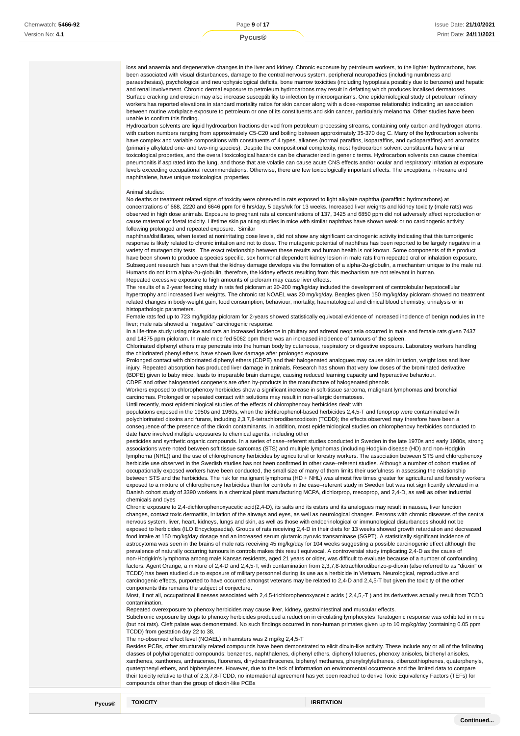loss and anaemia and degenerative changes in the liver and kidney. Chronic exposure by petroleum workers, to the lighter hydrocarbons, has been associated with visual disturbances, damage to the central nervous system, peripheral neuropathies (including numbness and paraesthesias), psychological and neurophysiological deficits, bone marrow toxicities (including hypoplasia possibly due to benzene) and hepatic and renal involvement. Chronic dermal exposure to petroleum hydrocarbons may result in defatting which produces localised dermatoses. Surface cracking and erosion may also increase susceptibility to infection by microorganisms. One epidemiological study of petroleum refinery workers has reported elevations in standard mortality ratios for skin cancer along with a dose-response relationship indicating an association between routine workplace exposure to petroleum or one of its constituents and skin cancer, particularly melanoma. Other studies have been unable to confirm this finding.

Hydrocarbon solvents are liquid hydrocarbon fractions derived from petroleum processing streams, containing only carbon and hydrogen atoms, with carbon numbers ranging from approximately C5-C20 and boiling between approximately 35-370 deg C. Many of the hydrocarbon solvents have complex and variable compositions with constituents of 4 types, alkanes (normal paraffins, isoparaffins, and cycloparaffins) and aromatics (primarily alkylated one- and two-ring species). Despite the compositional complexity, most hydrocarbon solvent constituents have similar toxicological properties, and the overall toxicological hazards can be characterized in generic terms. Hydrocarbon solvents can cause chemical pneumonitis if aspirated into the lung, and those that are volatile can cause acute CNS effects and/or ocular and respiratory irritation at exposure levels exceeding occupational recommendations. Otherwise, there are few toxicologically important effects. The exceptions, n-hexane and naphthalene, have unique toxicological properties

#### Animal studies:

No deaths or treatment related signs of toxicity were observed in rats exposed to light alkylate naphtha (paraffinic hydrocarbons) at concentrations of 668, 2220 and 6646 ppm for 6 hrs/day, 5 days/wk for 13 weeks. Increased liver weights and kidney toxicity (male rats) was observed in high dose animals. Exposure to pregnant rats at concentrations of 137, 3425 and 6850 ppm did not adversely affect reproduction or cause maternal or foetal toxicity. Lifetime skin painting studies in mice with similar naphthas have shown weak or no carcinogenic activity following prolonged and repeated exposure. Similar

naphthas/distillates, when tested at nonirritating dose levels, did not show any significant carcinogenic activity indicating that this tumorigenic response is likely related to chronic irritation and not to dose. The mutagenic potential of naphthas has been reported to be largely negative in a variety of mutagenicity tests. The exact relationship between these results and human health is not known. Some components of this product have been shown to produce a species specific, sex hormonal dependent kidney lesion in male rats from repeated oral or inhalation exposure. Subsequent research has shown that the kidney damage develops via the formation of a alpha-2u-globulin, a mechanism unique to the male rat. Humans do not form alpha-2u-globulin, therefore, the kidney effects resulting from this mechanism are not relevant in human. Repeated excessive exposure to high amounts of picloram may cause liver effects.

The results of a 2-year feeding study in rats fed picloram at 20-200 mg/kg/day included the development of centrolobular hepatocellular hypertrophy and increased liver weights. The chronic rat NOAEL was 20 mg/kg/day. Beagles given 150 mg/kg/day picloram showed no treatment related changes in body-weight gain, food consumption, behaviour, mortality, haematological and clinical blood chemistry, urinalysis or in histopathologic parameters.

Female rats fed up to 723 mg/kg/day picloram for 2-years showed statistically equivocal evidence of increased incidence of benign nodules in the liver; male rats showed a "negative" carcinogenic response.

In a life-time study using mice and rats an increased incidence in pituitary and adrenal neoplasia occurred in male and female rats given 7437 and 14875 ppm picloram. In male mice fed 5062 ppm there was an increased incidence of tumours of the spleen.

Chlorinated diphenyl ethers may penetrate into the human body by cutaneous, respiratory or digestive exposure. Laboratory workers handling the chlorinated phenyl ethers, have shown liver damage after prolonged exposure

Prolonged contact with chlorinated diphenyl ethers (CDPE) and their halogenated analogues may cause skin irritation, weight loss and liver injury. Repeated absorption has produced liver damage in animals. Research has shown that very low doses of the brominated derivative (BDPE) given to baby mice, leads to irreparable brain damage, causing reduced learning capacity and hyperactive behaviour.

CDPE and other halogenated congeners are often by-products in the manufacture of halogenated phenols Workers exposed to chlorophenoxy herbicides show a significant increase in soft-tissue sarcoma, malignant lymphomas and bronchial carcinomas. Prolonged or repeated contact with solutions may result in non-allergic dermatoses.

Until recently, most epidemiological studies of the effects of chlorophenoxy herbicides dealt with

populations exposed in the 1950s and 1960s, when the trichlorophenol-based herbicides 2,4,5-T and fenoprop were contaminated with polychlorinated dioxins and furans, including 2,3,7,8-tetrachlorodibenzodioxin (TCDD); the effects observed may therefore have been a consequence of the presence of the dioxin contaminants. In addition, most epidemiological studies on chlorophenoxy herbicides conducted to date have involved multiple exposures to chemical agents, including other

pesticides and synthetic organic compounds. In a series of case–referent studies conducted in Sweden in the late 1970s and early 1980s, strong associations were noted between soft tissue sarcomas (STS) and multiple lymphomas (including Hodgkin disease (HD) and non-Hodgkin lymphoma (NHL)) and the use of chlorophenoxy herbicides by agricultural or forestry workers. The association between STS and chlorophenoxy herbicide use observed in the Swedish studies has not been confirmed in other case–referent studies. Although a number of cohort studies of occupationally exposed workers have been conducted, the small size of many of them limits their usefulness in assessing the relationship between STS and the herbicides. The risk for malignant lymphoma (HD + NHL) was almost five times greater for agricultural and forestry workers exposed to a mixture of chlorophenoxy herbicides than for controls in the case–referent study in Sweden but was not significantly elevated in a Danish cohort study of 3390 workers in a chemical plant manufacturing MCPA, dichlorprop, mecoprop, and 2,4-D, as well as other industrial

chemicals and dyes Chronic exposure to 2,4-dichlorophenoxyacetic acid(2,4-D), its salts and its esters and its analogues may result in nausea, liver function changes, contact toxic dermatitis, irritation of the airways and eyes, as well as neurological changes. Persons with chronic diseases of the central nervous system, liver, heart, kidneys, lungs and skin, as well as those with endocrinological or immunological disturbances should not be exposed to herbicides (ILO Encyclopaedia). Groups of rats receiving 2,4-D in their diets for 13 weeks showed growth retardation and decreased food intake at 150 mg/kg/day dosage and an increased serum glutamic pyruvic transaminase (SGPT). A statistically significant incidence of astrocytoma was seen in the brains of male rats receiving 45 mg/kg/day for 104 weeks suggesting a possible carcinogenic effect although the prevalence of naturally occurring tumours in controls makes this result equivocal. A controversial study implicating 2,4-D as the cause of non-Hodgkin's lymphoma among male Kansas residents, aged 21 years or older, was difficult to evaluate because of a number of confounding factors. Agent Orange, a mixture of 2,4-D and 2,4,5-T, with contamination from 2,3,7,8-tetrachlorodibenzo-p-dioxin (also referred to as "dioxin" or TCDD) has been studied due to exposure of military personnel during its use as a herbicide in Vietnam. Neurological, reproductive and carcinogenic effects, purported to have occurred amongst veterans may be related to 2,4-D and 2,4,5-T but given the toxicity of the other components this remains the subject of conjecture.

Most, if not all, occupational illnesses associated with 2,4,5-trichlorophenoxyacetic acids ( 2,4,5,-T ) and its derivatives actually result from TCDD contamination.

Repeated overexposure to phenoxy herbicides may cause liver, kidney, gastrointestinal and muscular effects.

Subchronic exposure by dogs to phenoxy herbicides produced a reduction in circulating lymphocytes Teratogenic response was exhibited in mice (but not rats). Cleft palate was demonstrated. No such findings occurred in non-human primates given up to 10 mg/kg/day (containing 0.05 ppm TCDD) from gestation day 22 to 38.

The no-observed effect level (NOAEL) in hamsters was 2 mg/kg 2,4,5-T

Besides PCBs, other structurally related compounds have been demonstrated to elicit dioxin-like activity. These include any or all of the following classes of polyhalogenated compounds: benzenes, naphthalenes, diphenyl ethers, diphenyl toluenes, phenoxy anisoles, biphenyl anisoles, xanthenes, xanthones, anthracenes, fluorenes, dihydroanthracenes, biphenyl methanes, phenylxylylethanes, dibenzothiophenes, quaterphenyls, quaterphenyl ethers, and biphenylenes. However, due to the lack of information on environmental occurrence and the limited data to compare their toxicity relative to that of 2,3,7,8-TCDD, no international agreement has yet been reached to derive Toxic Equivalency Factors (TEFs) for compounds other than the group of dioxin-like PCBs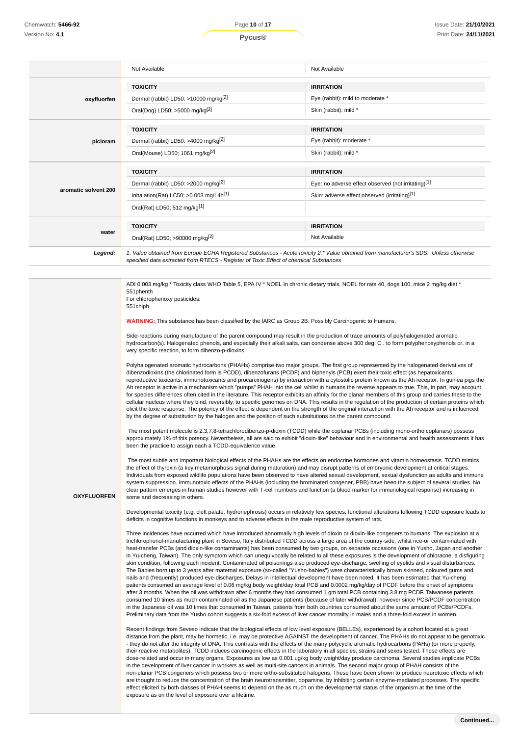|                      | Not Available                                                                         | Not Available                                                                                                                          |
|----------------------|---------------------------------------------------------------------------------------|----------------------------------------------------------------------------------------------------------------------------------------|
|                      | <b>TOXICITY</b>                                                                       | <b>IRRITATION</b>                                                                                                                      |
| oxyfluorfen          | Dermal (rabbit) LD50: >10000 mg/kg <sup>[2]</sup>                                     | Eye (rabbit): mild to moderate *                                                                                                       |
|                      | Oral(Dog) LD50; >5000 mg/kg <sup>[2]</sup>                                            | Skin (rabbit): mild *                                                                                                                  |
|                      | <b>TOXICITY</b>                                                                       | <b>IRRITATION</b>                                                                                                                      |
| picloram             | Dermal (rabbit) LD50: >4000 mg/kg <sup>[2]</sup>                                      | Eye (rabbit): moderate *                                                                                                               |
|                      | Oral(Mouse) LD50; 1061 mg/kg <sup>[2]</sup>                                           | Skin (rabbit): mild *                                                                                                                  |
|                      | <b>TOXICITY</b>                                                                       | <b>IRRITATION</b>                                                                                                                      |
|                      | Dermal (rabbit) LD50: >2000 mg/kg <sup>[2]</sup>                                      | Eye: no adverse effect observed (not irritating)[1]                                                                                    |
| aromatic solvent 200 | Inhalation(Rat) LC50; $>0.003$ mg/L4h <sup>[1]</sup>                                  | Skin: adverse effect observed (irritating)[1]                                                                                          |
|                      | Oral(Rat) LD50; 512 mg/kg[1]                                                          |                                                                                                                                        |
|                      | <b>TOXICITY</b>                                                                       | <b>IRRITATION</b>                                                                                                                      |
| water                | Oral(Rat) LD50; >90000 mg/kg <sup>[2]</sup>                                           | Not Available                                                                                                                          |
| Legend:              | specified data extracted from RTECS - Register of Toxic Effect of chemical Substances | 1. Value obtained from Europe ECHA Registered Substances - Acute toxicity 2.* Value obtained from manufacturer's SDS. Unless otherwise |

ADI 0.003 mg/kg \* Toxicity class WHO Table 5, EPA IV \* NOEL In chronic dietary trials, NOEL for rats 40, dogs 100, mice 2 mg/kg diet \* 551phenth

For chlorophenoxy pesticides: 551chlph

**OXYFLUORFEN**

**WARNING:** This substance has been classified by the IARC as Group 2B: Possibly Carcinogenic to Humans.

Side-reactions during manufacture of the parent compound may result in the production of trace amounts of polyhalogenated aromatic hydrocarbon(s). Halogenated phenols, and especially their alkali salts, can condense above 300 deg. C . to form polyphenoxyphenols or, in a very specific reaction, to form dibenzo-p-dioxins

Polyhalogenated aromatic hydrocarbons (PHAHs) comprise two major groups. The first group represented by the halogenated derivatives of dibenzodioxins (the chlorinated form is PCDD), dibenzofurans (PCDF) and biphenyls (PCB) exert their toxic effect (as hepatoxicants, reproductive toxicants, immunotoxicants and procarcinogens) by interaction with a cytostolic protein known as the Ah receptor. In guinea pigs the Ah receptor is active in a mechanism which "pumps" PHAH into the cell whilst in humans the reverse appears to true. This, in part, may account for species differences often cited in the literature. This receptor exhibits an affinity for the planar members of this group and carries these to the cellular nucleus where they bind, reversibly, to specific genomes on DNA. This results in the regulation of the production of certain proteins which elicit the toxic response. The potency of the effect is dependent on the strength of the original interaction with the Ah receptor and is influenced by the degree of substitution by the halogen and the position of such substitutions on the parent compound.

 The most potent molecule is 2,3,7,8-tetrachlorodibenzo-p-dioxin (TCDD) while the coplanar PCBs (including mono-ortho coplanars) possess approximately 1% of this potency. Nevertheless, all are said to exhibit "dioxin-like" behaviour and in environmental and health assessments it has been the practice to assign each a TCDD-equivalence value.

 The most subtle and important biological effects of the PHAHs are the effects on endocrine hormones and vitamin homeostasis. TCDD mimics the effect of thyroxin (a key metamorphosis signal during maturation) and may disrupt patterns of embryonic development at critical stages. Individuals from exposed wildlife populations have been observed to have altered sexual development, sexual dysfunction as adults and immune system suppression. Immunotoxic effects of the PHAHs (including the brominated congener, PBB) have been the subject of several studies. No clear pattern emerges in human studies however with T-cell numbers and function (a blood marker for immunological response) increasing in some and decreasing in others.

Developmental toxicity (e.g. cleft palate, hydronephrosis) occurs in relatively few species; functional alterations following TCDD exposure leads to deficits in cognitive functions in monkeys and to adverse effects in the male reproductive system of rats.

Three incidences have occurred which have introduced abnormally high levels of dioxin or dioxin-like congeners to humans. The explosion at a trichlorophenol-manufacturing plant in Seveso, Italy distributed TCDD across a large area of the country-side, whilst rice-oil contaminated with heat-transfer PCBs (and dioxin-like contaminants) has been consumed by two groups, on separate occasions (one in Yusho, Japan and another in Yu-cheng, Taiwan). The only symptom which can unequivocally be related to all these exposures is the development of chloracne, a disfiguring skin condition, following each incident. Contaminated oil poisonings also produced eye-discharge, swelling of eyelids and visual disturbances. The Babies born up to 3 years after maternal exposure (so-called "Yusho-babies") were characteristically brown skinned, coloured gums and nails and (frequently) produced eye-discharges. Delays in intellectual development have been noted. It has been estimated that Yu-cheng patients consumed an average level of 0.06 mg/kg body weight/day total PCB and 0.0002 mg/kg/day of PCDF before the onset of symptoms after 3 months. When the oil was withdrawn after 6 months they had consumed 1 gm total PCB containing 3.8 mg PCDF. Taiwanese patients consumed 10 times as much contaminated oil as the Japanese patients (because of later withdrawal); however since PCB/PCDF concentration in the Japanese oil was 10 times that consumed in Taiwan, patients from both countries consumed about the same amount of PCBs/PCDFs. Preliminary data from the Yusho cohort suggests a six-fold excess of liver cancer mortality in males and a three-fold excess in women.

Recent findings from Seveso indicate that the biological effects of low level exposure (BELLEs), experienced by a cohort located at a great distance from the plant, may be hormetic, i.e. may be protective AGAINST the development of cancer. The PHAHs do not appear to be genotoxic - they do not alter the integrity of DNA. This contrasts with the effects of the many polycyclic aromatic hydrocarbons (PAHs) (or more properly, their reactive metabolites). TCDD induces carcinogenic effects in the laboratory in all species, strains and sexes tested. These effects are dose-related and occur in many organs. Exposures as low as 0.001 ug/kg body weight/day produce carcinoma. Several studies implicate PCBs in the development of liver cancer in workers as well as multi-site cancers in animals. The second major group of PHAH consists of the non-planar PCB congeners which possess two or more ortho-substituted halogens. These have been shown to produce neurotoxic effects which are thought to reduce the concentration of the brain neurotransmitter, dopamine, by inhibiting certain enzyme-mediated processes. The specific effect elicited by both classes of PHAH seems to depend on the as much on the developmental status of the organism at the time of the exposure as on the level of exposure over a lifetime.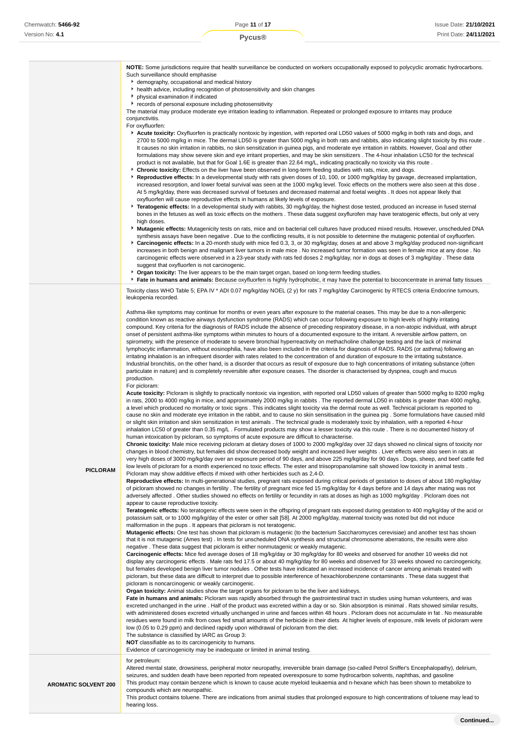**NOTE:** Some jurisdictions require that health surveillance be conducted on workers occupationally exposed to polycyclic aromatic hydrocarbons. Such surveillance should emphasise

- demography, occupational and medical history
- health advice, including recognition of photosensitivity and skin changes
- **b** physical examination if indicated
- records of personal exposure including photosensitivity

The material may produce moderate eye irritation leading to inflammation. Repeated or prolonged exposure to irritants may produce conjunctivitis.

For oxyfluorfen:

- **Acute toxicity:** Oxyfluorfen is practically nontoxic by ingestion, with reported oral LD50 values of 5000 mg/kg in both rats and dogs, and 2700 to 5000 mg/kg in mice. The dermal LD50 is greater than 5000 mg/kg in both rats and rabbits, also indicating slight toxicity by this route . It causes no skin irritation in rabbits, no skin sensitization in guinea pigs, and moderate eye irritation in rabbits. However, Goal and other formulations may show severe skin and eye irritant properties, and may be skin sensitizers . The 4-hour inhalation LC50 for the technical product is not available, but that for Goal 1.6E is greater than 22.64 mg/L, indicating practically no toxicity via this route .
- **Chronic toxicity:** Effects on the liver have been observed in long-term feeding studies with rats, mice, and dogs.
- **Reproductive effects:** In a developmental study with rats given doses of 10, 100, or 1000 mg/kg/day by gavage, decreased implantation, increased resorption, and lower foetal survival was seen at the 1000 mg/kg level. Toxic effects on the mothers were also seen at this dose . At 5 mg/kg/day, there was decreased survival of foetuses and decreased maternal and foetal weights . It does not appear likely that oxyfluorfen will cause reproductive effects in humans at likely levels of exposure.
- **Teratogenic effects:** In a developmental study with rabbits, 30 mg/kg/day, the highest dose tested, produced an increase in fused sternal bones in the fetuses as well as toxic effects on the mothers . These data suggest oxyflurofen may have teratogenic effects, but only at very high doses.
- **Mutagenic effects:** Mutagenicity tests on rats, mice and on bacterial cell cultures have produced mixed results. However, unscheduled DNA synthesis assays have been negative . Due to the conflicting results, it is not possible to determine the mutagenic potential of oxyfluorfen.
- **Carcinogenic effects:** In a 20-month study with mice fed 0.3, 3, or 30 mg/kg/day, doses at and above 3 mg/kg/day produced non-significant increases in both benign and malignant liver tumors in male mice . No increased tumor formation was seen in female mice at any dose . No carcinogenic effects were observed in a 23-year study with rats fed doses 2 mg/kg/day, nor in dogs at doses of 3 mg/kg/day . These data suggest that oxyfluorfen is not carcinogenic.
- **Organ toxicity:** The liver appears to be the main target organ, based on long-term feeding studies. **F** Fate in humans and animals: Because oxyfluorfen is highly hydrophobic, it may have the potential to bioconcentrate in animal fatty tissues
- Toxicity class WHO Table 5; EPA IV \* ADI 0.07 mg/kg/day NOEL (2 y) for rats 7 mg/kg/day Carcinogenic by RTECS criteria Endocrine tumours, leukopenia recorded.

Asthma-like symptoms may continue for months or even years after exposure to the material ceases. This may be due to a non-allergenic condition known as reactive airways dysfunction syndrome (RADS) which can occur following exposure to high levels of highly irritating compound. Key criteria for the diagnosis of RADS include the absence of preceding respiratory disease, in a non-atopic individual, with abrupt onset of persistent asthma-like symptoms within minutes to hours of a documented exposure to the irritant. A reversible airflow pattern, on spirometry, with the presence of moderate to severe bronchial hyperreactivity on methacholine challenge testing and the lack of minimal lymphocytic inflammation, without eosinophilia, have also been included in the criteria for diagnosis of RADS. RADS (or asthma) following an irritating inhalation is an infrequent disorder with rates related to the concentration of and duration of exposure to the irritating substance. Industrial bronchitis, on the other hand, is a disorder that occurs as result of exposure due to high concentrations of irritating substance (often particulate in nature) and is completely reversible after exposure ceases. The disorder is characterised by dyspnea, cough and mucus production.

#### For picloram:

**PICLORAM**

**Acute toxicity:** Picloram is slightly to practically nontoxic via ingestion, with reported oral LD50 values of greater than 5000 mg/kg to 8200 mg/kg in rats, 2000 to 4000 mg/kg in mice, and approximately 2000 mg/kg in rabbits . The reported dermal LD50 in rabbits is greater than 4000 mg/kg, a level which produced no mortality or toxic signs . This indicates slight toxicity via the dermal route as well. Technical picloram is reported to cause no skin and moderate eye irritation in the rabbit, and to cause no skin sensitisation in the guinea pig . Some formulations have caused mild or slight skin irritation and skin sensitization in test animals . The technical grade is moderately toxic by inhalation, with a reported 4-hour inhalation LC50 of greater than 0.35 mg/L . Formulated products may show a lesser toxicity via this route . There is no documented history of human intoxication by picloram, so symptoms of acute exposure are difficult to characterise.

**Chronic toxicity:** Male mice receiving picloram at dietary doses of 1000 to 2000 mg/kg/day over 32 days showed no clinical signs of toxicity nor changes in blood chemistry, but females did show decreased body weight and increased liver weights . Liver effects were also seen in rats at very high doses of 3000 mg/kg/day over an exposure period of 90 days, and above 225 mg/kg/day for 90 days . Dogs, sheep, and beef cattle fed low levels of picloram for a month experienced no toxic effects. The ester and triisopropanolamine salt showed low toxicity in animal tests . Picloram may show additive effects if mixed with other herbicides such as 2,4-D.

**Reproductive effects:** In multi-generational studies, pregnant rats exposed during critical periods of gestation to doses of about 180 mg/kg/day of picloram showed no changes in fertility . The fertility of pregnant mice fed 15 mg/kg/day for 4 days before and 14 days after mating was not adversely affected . Other studies showed no effects on fertility or fecundity in rats at doses as high as 1000 mg/kg/day . Picloram does not appear to cause reproductive toxicity.

**Teratogenic effects:** No teratogenic effects were seen in the offspring of pregnant rats exposed during gestation to 400 mg/kg/day of the acid or potassium salt, or to 1000 mg/kg/day of the ester or other salt [58]. At 2000 mg/kg/day, maternal toxicity was noted but did not induce malformation in the pups . It appears that picloram is not teratogenic.

**Mutagenic effects:** One test has shown that picloram is mutagenic (to the bacterium Saccharomyces cerevisiae) and another test has shown that it is not mutagenic (Ames test) . In tests for unscheduled DNA synthesis and structural chromosome aberrations, the results were also negative . These data suggest that picloram is either nonmutagenic or weakly mutagenic.

**Carcinogenic effects:** Mice fed average doses of 18 mg/kg/day or 30 mg/kg/day for 80 weeks and observed for another 10 weeks did not display any carcinogenic effects . Male rats fed 17.5 or about 40 mg/kg/day for 80 weeks and observed for 33 weeks showed no carcinogenicity, but females developed benign liver tumor nodules . Other tests have indicated an increased incidence of cancer among animals treated with picloram, but these data are difficult to interpret due to possible interference of hexachlorobenzene contaminants . These data suggest that picloram is noncarcinogenic or weakly carcinogenic.

**Organ toxicity:** Animal studies show the target organs for picloram to be the liver and kidneys.

**Fate in humans and animals:** Picloram was rapidly absorbed through the gastrointestinal tract in studies using human volunteers, and was excreted unchanged in the urine . Half of the product was excreted within a day or so. Skin absorption is minimal . Rats showed similar results, with administered doses excreted virtually unchanged in urine and faeces within 48 hours . Picloram does not accumulate in fat . No measurable residues were found in milk from cows fed small amounts of the herbicide in their diets At higher levels of exposure, milk levels of picloram were low (0.05 to 0.29 ppm) and declined rapidly upon withdrawal of picloram from the diet. The substance is classified by IARC as Group 3:

**NOT** classifiable as to its carcinogenicity to humans.

Evidence of carcinogenicity may be inadequate or limited in animal testing.

#### for petroleum:

Altered mental state, drowsiness, peripheral motor neuropathy, irreversible brain damage (so-called Petrol Sniffer's Encephalopathy), delirium, seizures, and sudden death have been reported from repeated overexposure to some hydrocarbon solvents, naphthas, and gasoline This product may contain benzene which is known to cause acute myeloid leukaemia and n-hexane which has been shown to metabolize to compounds which are neuropathic.

**AROMATIC SOLVENT 200**

This product contains toluene. There are indications from animal studies that prolonged exposure to high concentrations of toluene may lead to hearing loss.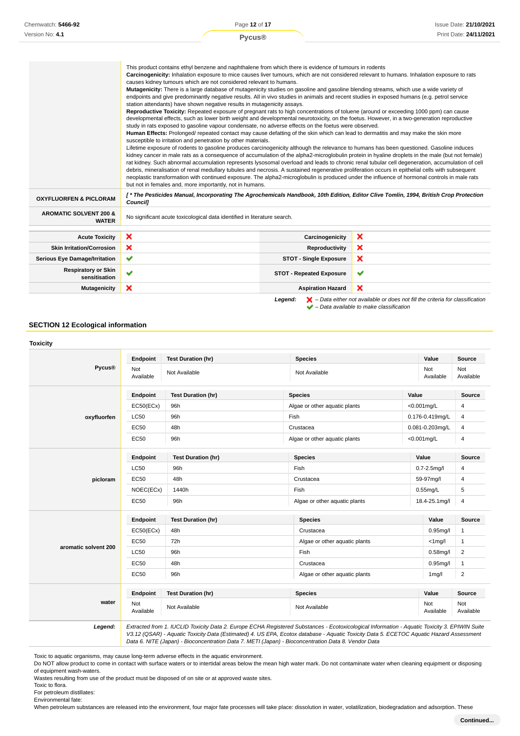|                                                   | Pycus <sup>®</sup>                                                                                                                                                                                                                                                                                                                                                                                                                                                                                                                                                                                                                                                                                                                                                                                                                                                                                                                                                                                                                                                                                                                                                                                                                                                                                                                                                                                                                                                                                                                                                                                                                                                                                                                                                                                                                                                                                                                                                                                                                                                                                                         |                                 | Print Date: 24/11/2021 |
|---------------------------------------------------|----------------------------------------------------------------------------------------------------------------------------------------------------------------------------------------------------------------------------------------------------------------------------------------------------------------------------------------------------------------------------------------------------------------------------------------------------------------------------------------------------------------------------------------------------------------------------------------------------------------------------------------------------------------------------------------------------------------------------------------------------------------------------------------------------------------------------------------------------------------------------------------------------------------------------------------------------------------------------------------------------------------------------------------------------------------------------------------------------------------------------------------------------------------------------------------------------------------------------------------------------------------------------------------------------------------------------------------------------------------------------------------------------------------------------------------------------------------------------------------------------------------------------------------------------------------------------------------------------------------------------------------------------------------------------------------------------------------------------------------------------------------------------------------------------------------------------------------------------------------------------------------------------------------------------------------------------------------------------------------------------------------------------------------------------------------------------------------------------------------------------|---------------------------------|------------------------|
|                                                   | This product contains ethyl benzene and naphthalene from which there is evidence of tumours in rodents<br>Carcinogenicity: Inhalation exposure to mice causes liver tumours, which are not considered relevant to humans. Inhalation exposure to rats<br>causes kidney tumours which are not considered relevant to humans.<br>Mutagenicity: There is a large database of mutagenicity studies on gasoline and gasoline blending streams, which use a wide variety of<br>endpoints and give predominantly negative results. All in vivo studies in animals and recent studies in exposed humans (e.g. petrol service<br>station attendants) have shown negative results in mutagenicity assays.<br>Reproductive Toxicity: Repeated exposure of pregnant rats to high concentrations of toluene (around or exceeding 1000 ppm) can cause<br>developmental effects, such as lower birth weight and developmental neurotoxicity, on the foetus. However, in a two-generation reproductive<br>study in rats exposed to gasoline vapour condensate, no adverse effects on the foetus were observed.<br>Human Effects: Prolonged/ repeated contact may cause defatting of the skin which can lead to dermatitis and may make the skin more<br>susceptible to irritation and penetration by other materials.<br>Lifetime exposure of rodents to gasoline produces carcinogenicity although the relevance to humans has been questioned. Gasoline induces<br>kidney cancer in male rats as a consequence of accumulation of the alpha2-microglobulin protein in hyaline droplets in the male (but not female)<br>rat kidney. Such abnormal accumulation represents lysosomal overload and leads to chronic renal tubular cell degeneration, accumulation of cell<br>debris, mineralisation of renal medullary tubules and necrosis. A sustained regenerative proliferation occurs in epithelial cells with subsequent<br>neoplastic transformation with continued exposure. The alpha2-microglobulin is produced under the influence of hormonal controls in male rats<br>but not in females and, more importantly, not in humans. |                                 |                        |
| <b>OXYFLUORFEN &amp; PICLORAM</b>                 | [*The Pesticides Manual, Incorporating The Agrochemicals Handbook, 10th Edition, Editor Clive Tomlin, 1994, British Crop Protection<br>Council]                                                                                                                                                                                                                                                                                                                                                                                                                                                                                                                                                                                                                                                                                                                                                                                                                                                                                                                                                                                                                                                                                                                                                                                                                                                                                                                                                                                                                                                                                                                                                                                                                                                                                                                                                                                                                                                                                                                                                                            |                                 |                        |
| <b>AROMATIC SOLVENT 200 &amp;</b><br><b>WATER</b> | No significant acute toxicological data identified in literature search.                                                                                                                                                                                                                                                                                                                                                                                                                                                                                                                                                                                                                                                                                                                                                                                                                                                                                                                                                                                                                                                                                                                                                                                                                                                                                                                                                                                                                                                                                                                                                                                                                                                                                                                                                                                                                                                                                                                                                                                                                                                   |                                 |                        |
| <b>Acute Toxicity</b>                             | ×                                                                                                                                                                                                                                                                                                                                                                                                                                                                                                                                                                                                                                                                                                                                                                                                                                                                                                                                                                                                                                                                                                                                                                                                                                                                                                                                                                                                                                                                                                                                                                                                                                                                                                                                                                                                                                                                                                                                                                                                                                                                                                                          | Carcinogenicity                 | ×                      |
| <b>Skin Irritation/Corrosion</b>                  | ×                                                                                                                                                                                                                                                                                                                                                                                                                                                                                                                                                                                                                                                                                                                                                                                                                                                                                                                                                                                                                                                                                                                                                                                                                                                                                                                                                                                                                                                                                                                                                                                                                                                                                                                                                                                                                                                                                                                                                                                                                                                                                                                          | Reproductivity                  | ×                      |
| <b>Serious Eye Damage/Irritation</b>              | ✔                                                                                                                                                                                                                                                                                                                                                                                                                                                                                                                                                                                                                                                                                                                                                                                                                                                                                                                                                                                                                                                                                                                                                                                                                                                                                                                                                                                                                                                                                                                                                                                                                                                                                                                                                                                                                                                                                                                                                                                                                                                                                                                          | <b>STOT - Single Exposure</b>   | ×                      |
| <b>Respiratory or Skin</b><br>sensitisation       | $\checkmark$                                                                                                                                                                                                                                                                                                                                                                                                                                                                                                                                                                                                                                                                                                                                                                                                                                                                                                                                                                                                                                                                                                                                                                                                                                                                                                                                                                                                                                                                                                                                                                                                                                                                                                                                                                                                                                                                                                                                                                                                                                                                                                               | <b>STOT - Repeated Exposure</b> | ✔                      |
|                                                   |                                                                                                                                                                                                                                                                                                                                                                                                                                                                                                                                                                                                                                                                                                                                                                                                                                                                                                                                                                                                                                                                                                                                                                                                                                                                                                                                                                                                                                                                                                                                                                                                                                                                                                                                                                                                                                                                                                                                                                                                                                                                                                                            |                                 |                        |

Page **12** of **17**



**SECTION 12 Ecological information**

Chemwatch: **5466-92**

|                      | Endpoint         | <b>Test Duration (hr)</b> | <b>Species</b>                                 |                  | Value            | <b>Source</b>    |
|----------------------|------------------|---------------------------|------------------------------------------------|------------------|------------------|------------------|
| Pycus®               | Not<br>Available | Not Available             | Not Available                                  |                  | Not<br>Available | Not<br>Available |
|                      | Endpoint         | <b>Test Duration (hr)</b> | <b>Species</b>                                 |                  | Value            | Source           |
|                      | EC50(ECx)        | 96h                       | Algae or other aquatic plants                  |                  | <0.001mg/L       | 4                |
| oxyfluorfen          | <b>LC50</b>      | 96h                       | Fish                                           |                  | 0.176-0.419mg/L  | 4                |
|                      | <b>EC50</b>      | 48h                       | Crustacea                                      |                  | 0.081-0.203mg/L  | 4                |
|                      | EC50             | 96h                       | Algae or other aquatic plants                  |                  | <0.001mg/L       | $\overline{4}$   |
|                      | Endpoint         | <b>Test Duration (hr)</b> | <b>Species</b>                                 |                  | Value            | <b>Source</b>    |
|                      | <b>LC50</b>      | 96h                       | Fish                                           | $0.7 - 2.5$ mg/l |                  | 4                |
| picloram             | EC50             | 48h                       | Crustacea                                      | 59-97mg/l        |                  | 4                |
|                      | NOEC(ECx)        | 1440h                     | Fish                                           | $0.55$ mg/L      |                  | 5                |
|                      | EC50             | 96h                       | Algae or other aquatic plants                  |                  | 18.4-25.1mg/l    | $\overline{4}$   |
|                      | <b>Endpoint</b>  | <b>Test Duration (hr)</b> | <b>Species</b>                                 |                  | Value            | Source           |
|                      | EC50(ECx)        | 48h                       | Crustacea                                      |                  | $0.95$ mg/l      | $\mathbf{1}$     |
|                      | <b>EC50</b>      | 72h                       | Algae or other aquatic plants<br>$<$ 1 $mq$ /l |                  |                  | $\mathbf{1}$     |
| aromatic solvent 200 | <b>LC50</b>      | 96h                       | Fish<br>$0.58$ mg/l                            |                  | $\overline{2}$   |                  |
|                      | EC50             | 48h                       | Crustacea<br>$0.95$ mg/l                       |                  | $\mathbf{1}$     |                  |
|                      | EC50             | 96h                       | Algae or other aquatic plants                  |                  | $1$ mg/l         | $\overline{2}$   |
|                      | Endpoint         | <b>Test Duration (hr)</b> | <b>Species</b>                                 |                  | Value            | Source           |
| water                | Not<br>Available | Not Available             | Not Available                                  |                  | Not<br>Available | Not<br>Available |

Toxic to aquatic organisms, may cause long-term adverse effects in the aquatic environment.

Do NOT allow product to come in contact with surface waters or to intertidal areas below the mean high water mark. Do not contaminate water when cleaning equipment or disposing of equipment wash-waters.

Wastes resulting from use of the product must be disposed of on site or at approved waste sites.

When petroleum substances are released into the environment, four major fate processes will take place: dissolution in water, volatilization, biodegradation and adsorption. These

Toxic to flora.

For petroleum distillates: Environmental fate: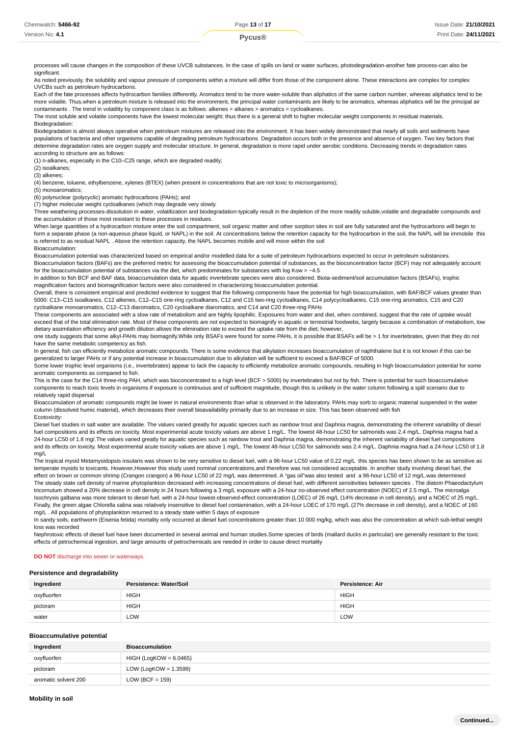| Chemwatch: 5466-92 | Page 13 of 17 | Issue Date: 21/10/2021 |
|--------------------|---------------|------------------------|
| Version No: 4.1    | <b>vcus®</b>  | Print Date: 24/11/2021 |
|                    |               |                        |

processes will cause changes in the composition of these UVCB substances. In the case of spills on land or water surfaces, photodegradation-another fate process-can also be significant.

As noted previously, the solubility and vapour pressure of components within a mixture will differ from those of the component alone. These interactions are complex for complex UVCBs such as petroleum hydrocarbons.

Each of the fate processes affects hydrocarbon families differently. Aromatics tend to be more water-soluble than aliphatics of the same carbon number, whereas aliphatics tend to be more volatile. Thus,when a petroleum mixture is released into the environment, the principal water contaminants are likely to be aromatics, whereas aliphatics will be the principal air contaminants . The trend in volatility by component class is as follows: alkenes = alkanes > aromatics = cycloalkanes.

The most soluble and volatile components have the lowest molecular weight; thus there is a general shift to higher molecular weight components in residual materials. Biodegradation:

Biodegradation is almost always operative when petroleum mixtures are released into the environment. It has been widely demonstrated that nearly all soils and sediments have populations of bacteria and other organisms capable of degrading petroleum hydrocarbons Degradation occurs both in the presence and absence of oxygen. Two key factors that determine degradation rates are oxygen supply and molecular structure. In general, degradation is more rapid under aerobic conditions. Decreasing trends in degradation rates according to structure are as follows:

(1) n-alkanes, especially in the C10–C25 range, which are degraded readily;

(2) isoalkanes;

(3) alkenes;

(4) benzene, toluene, ethylbenzene, xylenes (BTEX) (when present in concentrations that are not toxic to microorganisms);

(5) monoaromatics;

(6) polynuclear (polycyclic) aromatic hydrocarbons (PAHs); and

(7) higher molecular weight cycloalkanes (which may degrade very slowly.

Three weathering processes-dissolution in water, volatilization and biodegradation-typically result in the depletion of the more readily soluble volatile and degradable compounds and the accumulation of those most resistant to these processes in residues.

When large quantities of a hydrocarbon mixture enter the soil compartment, soil organic matter and other sorption sites in soil are fully saturated and the hydrocarbons will begin to form a separate phase (a non-aqueous phase liquid, or NAPL) in the soil. At concentrations below the retention capacity for the hydrocarbon in the soil, the NAPL will be immobile this is referred to as residual NAPL . Above the retention capacity, the NAPL becomes mobile and will move within the soil

Bioaccumulation:

Bioaccumulation potential was characterized based on empirical and/or modelled data for a suite of petroleum hydrocarbons expected to occur in petroleum substances. Bioaccumulation factors (BAFs) are the preferred metric for assessing the bioaccumulation potential of substances, as the bioconcentration factor (BCF) may not adequately account for the bioaccumulation potential of substances via the diet, which predominates for substances with log Kow  $> 24.5$ 

In addition to fish BCF and BAF data, bioaccumulation data for aquatic invertebrate species were also considered. Biota-sediment/soil accumulation factors (BSAFs), trophic magnification factors and biomagnification factors were also considered in characterizing bioaccumulation potential.

Overall, there is consistent empirical and predicted evidence to suggest that the following components have the potential for high bioaccumulation, with BAF/BCF values greater than 5000: C13–C15 isoalkanes, C12 alkenes, C12–C15 one-ring cycloalkanes, C12 and C15 two-ring cycloalkanes, C14 polycycloalkanes, C15 one-ring aromatics, C15 and C20 cycloalkane monoaromatics, C12–C13 diaromatics, C20 cycloalkane diaromatics, and C14 and C20 three-ring PAHs

These components are associated with a slow rate of metabolism and are highly lipophilic. Exposures from water and diet, when combined, suggest that the rate of uptake would exceed that of the total elimination rate. Most of these components are not expected to biomagnify in aquatic or terrestrial foodwebs, largely because a combination of metabolism, low dietary assimilation efficiency and growth dilution allows the elimination rate to exceed the uptake rate from the diet; however,

one study suggests that some alkyl-PAHs may biomagnify.While only BSAFs were found for some PAHs, it is possible that BSAFs will be > 1 for invertebrates, given that they do not have the same metabolic competency as fish.

In general, fish can efficiently metabolize aromatic compounds. There is some evidence that alkylation increases bioaccumulation of naphthalene but it is not known if this can be generalized to larger PAHs or if any potential increase in bioaccumulation due to alkylation will be sufficient to exceed a BAF/BCF of 5000.

Some lower trophic level organisms (i.e., invertebrates) appear to lack the capacity to efficiently metabolize aromatic compounds, resulting in high bioaccumulation potential for some aromatic components as compared to fish.

This is the case for the C14 three-ring PAH, which was bioconcentrated to a high level (BCF > 5000) by invertebrates but not by fish. There is potential for such bioaccumulative components to reach toxic levels in organisms if exposure is continuous and of sufficient magnitude, though this is unlikely in the water column following a spill scenario due to relatively rapid dispersal

Bioaccumulation of aromatic compounds might be lower in natural environments than what is observed in the laboratory. PAHs may sorb to organic material suspended in the water column (dissolved humic material), which decreases their overall bioavailability primarily due to an increase in size. This has been observed with fish Ecotoxicity:

Diesel fuel studies in salt water are available. The values varied greatly for aquatic species such as rainbow trout and Daphnia magna, demonstrating the inherent variability of diesel fuel compositions and its effects on toxicity. Most experimental acute toxicity values are above 1 mg/L. The lowest 48-hour LC50 for salmonids was 2.4 mg/L. Daphnia magna had a 24-hour LC50 of 1.8 mg/.The values varied greatly for aquatic species such as rainbow trout and Daphnia magna, demonstrating the inherent variability of diesel fuel compositions and its effects on toxicity. Most experimental acute toxicity values are above 1 mg/L. The lowest 48-hour LC50 for salmonids was 2.4 mg/L. Daphnia magna had a 24-hour LC50 of 1.8 mg/L

The tropical mysid Metamysidopsis insularis was shown to be very sensitive to diesel fuel, with a 96-hour LC50 value of 0.22 mg/L this species has been shown to be as sensitive as temperate mysids to toxicants. However,However this study used nominal concentrations,and therefore was not considered acceptable. In another study involving diesel fuel, the effect on brown or common shrimp (Crangon crangon) a 96-hour LC50 of 22 mg/L was determined. A "gas oil"was also tested and a 96-hour LC50 of 12 mg/L.was determined The steady state cell density of marine phytoplankton decreased with increasing concentrations of diesel fuel, with different sensitivities between species . The diatom Phaeodactylum tricornutum showed a 20% decrease in cell density in 24 hours following a 3 mg/L exposure with a 24-hour no-observed effect concentration (NOEC) of 2.5 mg/L. The microalga Isochrysis galbana was more tolerant to diesel fuel, with a 24-hour lowest-observed-effect concentration (LOEC) of 26 mg/L (14% decrease in cell density), and a NOEC of 25 mg/L. Finally, the green algae Chlorella salina was relatively insensitive to diesel fuel contamination, with a 24-hour LOEC of 170 mg/L (27% decrease in cell density), and a NOEC of 160 mg/L . All populations of phytoplankton returned to a steady state within 5 days of exposure

In sandy soils, earthworm (Eisenia fetida) mortality only occurred at diesel fuel concentrations greater than 10 000 mg/kg, which was also the concentration at which sub-lethal weight loss was recorded

Nephrotoxic effects of diesel fuel have been documented in several animal and human studies.Some species of birds (mallard ducks in particular) are generally resistant to the toxic effects of petrochemical ingestion, and large amounts of petrochemicals are needed in order to cause direct mortality

#### **DO NOT** discharge into sewer or waterways.

#### **Persistence and degradability**

| Ingredient  | Persistence: Water/Soil | <b>Persistence: Air</b> |
|-------------|-------------------------|-------------------------|
| oxyfluorfen | <b>HIGH</b>             | <b>HIGH</b>             |
| picloram    | <b>HIGH</b>             | <b>HIGH</b>             |
| water       | LOW                     | LOW                     |

#### **Bioaccumulative potential**

| Ingredient           | <b>Bioaccumulation</b>   |
|----------------------|--------------------------|
| oxyfluorfen          | HIGH (LogKOW = 6.0465)   |
| picloram             | LOW (LogKOW = $1.3599$ ) |
| aromatic solvent 200 | LOW (BCF = $159$ )       |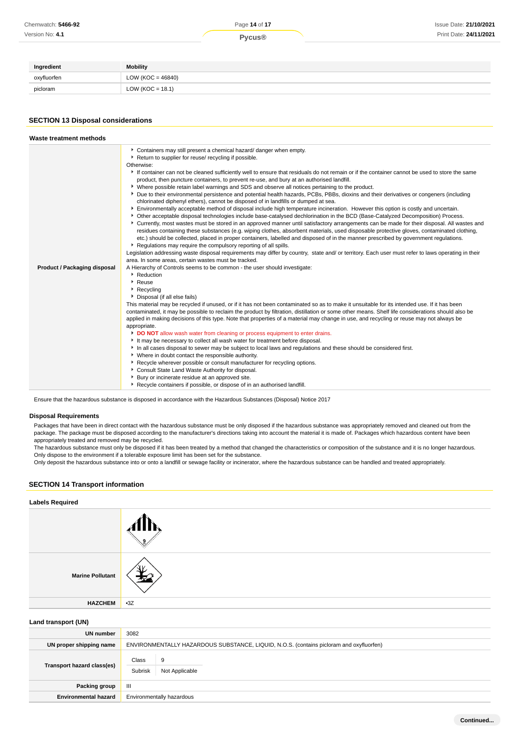| Ingredient  | <b>Mobility</b>       |
|-------------|-----------------------|
| oxyfluorfen | LOW ( $KOC = 46840$ ) |
| picloram    | LOW ( $KOC = 18.1$ )  |

# **SECTION 13 Disposal considerations**

| Waste treatment methods                                                                                                                                                                                                                                                                                                                                                                                                                                                                                                                                                                                                                                                                                                                                                                                                                                                                                                                                                                                                                                                                                                                                                                                                                                                                                                                                                                                                                                                                                                                                                                                                                                                                                                                                                                                                                                                                                                                                                                                                                                                                                                                                                                                                                                                                                                                                                                                                                                                                                                                                                                                                                                                                                                                                                                                                                                                                                                                                                                                         |  |
|-----------------------------------------------------------------------------------------------------------------------------------------------------------------------------------------------------------------------------------------------------------------------------------------------------------------------------------------------------------------------------------------------------------------------------------------------------------------------------------------------------------------------------------------------------------------------------------------------------------------------------------------------------------------------------------------------------------------------------------------------------------------------------------------------------------------------------------------------------------------------------------------------------------------------------------------------------------------------------------------------------------------------------------------------------------------------------------------------------------------------------------------------------------------------------------------------------------------------------------------------------------------------------------------------------------------------------------------------------------------------------------------------------------------------------------------------------------------------------------------------------------------------------------------------------------------------------------------------------------------------------------------------------------------------------------------------------------------------------------------------------------------------------------------------------------------------------------------------------------------------------------------------------------------------------------------------------------------------------------------------------------------------------------------------------------------------------------------------------------------------------------------------------------------------------------------------------------------------------------------------------------------------------------------------------------------------------------------------------------------------------------------------------------------------------------------------------------------------------------------------------------------------------------------------------------------------------------------------------------------------------------------------------------------------------------------------------------------------------------------------------------------------------------------------------------------------------------------------------------------------------------------------------------------------------------------------------------------------------------------------------------------|--|
| Containers may still present a chemical hazard/ danger when empty.<br>Return to supplier for reuse/ recycling if possible.<br>Otherwise:<br>If container can not be cleaned sufficiently well to ensure that residuals do not remain or if the container cannot be used to store the same<br>product, then puncture containers, to prevent re-use, and bury at an authorised landfill.<br>▶ Where possible retain label warnings and SDS and observe all notices pertaining to the product.<br>Due to their environmental persistence and potential health hazards, PCBs, PBBs, dioxins and their derivatives or congeners (including<br>chlorinated diphenyl ethers), cannot be disposed of in landfills or dumped at sea.<br>Finvironmentally acceptable method of disposal include high temperature incineration. However this option is costly and uncertain.<br>▶ Other acceptable disposal technologies include base-catalysed dechlorination in the BCD (Base-Catalyzed Decomposition) Process.<br>▶ Currently, most wastes must be stored in an approved manner until satisfactory arrangements can be made for their disposal. All wastes and<br>residues containing these substances (e.g. wiping clothes, absorbent materials, used disposable protective gloves, contaminated clothing,<br>etc.) should be collected, placed in proper containers, labelled and disposed of in the manner prescribed by government regulations.<br>Regulations may require the compulsory reporting of all spills.<br>Legislation addressing waste disposal requirements may differ by country, state and/ or territory. Each user must refer to laws operating in their<br>area. In some areas, certain wastes must be tracked.<br>A Hierarchy of Controls seems to be common - the user should investigate:<br>Product / Packaging disposal<br>Reduction<br>$\blacktriangleright$ Reuse<br>Recycling<br>Disposal (if all else fails)<br>This material may be recycled if unused, or if it has not been contaminated so as to make it unsuitable for its intended use. If it has been<br>contaminated, it may be possible to reclaim the product by filtration, distillation or some other means. Shelf life considerations should also be<br>applied in making decisions of this type. Note that properties of a material may change in use, and recycling or reuse may not always be<br>appropriate.<br>DO NOT allow wash water from cleaning or process equipment to enter drains.<br>It may be necessary to collect all wash water for treatment before disposal.<br>In all cases disposal to sewer may be subject to local laws and regulations and these should be considered first.<br>• Where in doubt contact the responsible authority.<br>▶ Recycle wherever possible or consult manufacturer for recycling options.<br>Consult State Land Waste Authority for disposal.<br>Bury or incinerate residue at an approved site.<br>Recycle containers if possible, or dispose of in an authorised landfill. |  |

Ensure that the hazardous substance is disposed in accordance with the Hazardous Substances (Disposal) Notice 2017

#### **Disposal Requirements**

Packages that have been in direct contact with the hazardous substance must be only disposed if the hazardous substance was appropriately removed and cleaned out from the package. The package must be disposed according to the manufacturer's directions taking into account the material it is made of. Packages which hazardous content have been appropriately treated and removed may be recycled.

The hazardous substance must only be disposed if it has been treated by a method that changed the characteristics or composition of the substance and it is no longer hazardous. Only dispose to the environment if a tolerable exposure limit has been set for the substance.

Only deposit the hazardous substance into or onto a landfill or sewage facility or incinerator, where the hazardous substance can be handled and treated appropriately.

# **SECTION 14 Transport information**

| <b>Labels Required</b>  |       |
|-------------------------|-------|
|                         |       |
| <b>Marine Pollutant</b> | ١v    |
| <b>HAZCHEM</b>          | $-3Z$ |
| Land transport (UN)     |       |

| $=$ $\frac{1}{2}$ $\frac{1}{2}$ $\frac{1}{2}$ $\frac{1}{2}$ $\frac{1}{2}$ $\frac{1}{2}$ $\frac{1}{2}$ $\frac{1}{2}$ $\frac{1}{2}$ $\frac{1}{2}$ $\frac{1}{2}$ $\frac{1}{2}$ $\frac{1}{2}$ $\frac{1}{2}$ $\frac{1}{2}$ $\frac{1}{2}$ $\frac{1}{2}$ $\frac{1}{2}$ $\frac{1}{2}$ $\frac{1}{2}$ $\frac{1}{2}$ $\frac{1}{2$ |                                                                                         |
|------------------------------------------------------------------------------------------------------------------------------------------------------------------------------------------------------------------------------------------------------------------------------------------------------------------------|-----------------------------------------------------------------------------------------|
| UN number                                                                                                                                                                                                                                                                                                              | 3082                                                                                    |
| UN proper shipping name                                                                                                                                                                                                                                                                                                | ENVIRONMENTALLY HAZARDOUS SUBSTANCE, LIQUID, N.O.S. (contains picloram and oxyfluorfen) |
| Transport hazard class(es)                                                                                                                                                                                                                                                                                             | Class<br>9<br>Subrisk<br>Not Applicable                                                 |
| Packing group                                                                                                                                                                                                                                                                                                          | Ш                                                                                       |
| <b>Environmental hazard</b>                                                                                                                                                                                                                                                                                            | Environmentally hazardous                                                               |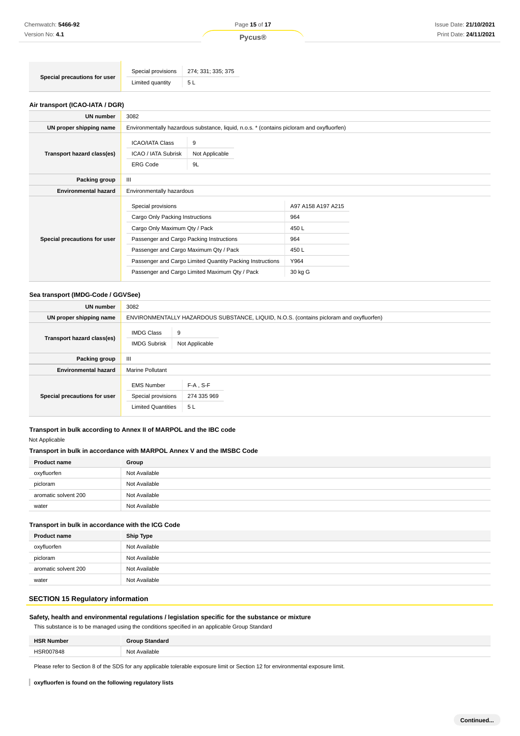|                              | Special provisions 274; 331; 335; 375 |     |
|------------------------------|---------------------------------------|-----|
| Special precautions for user | Limited quantity                      | 5 L |

### **Air transport (ICAO-IATA / DGR)**

| <b>UN number</b>             | 3082                                                                                                                                                                                                                                                                                        |                                                                                           |                                                                       |  |  |
|------------------------------|---------------------------------------------------------------------------------------------------------------------------------------------------------------------------------------------------------------------------------------------------------------------------------------------|-------------------------------------------------------------------------------------------|-----------------------------------------------------------------------|--|--|
| UN proper shipping name      |                                                                                                                                                                                                                                                                                             | Environmentally hazardous substance, liquid, n.o.s. * (contains picloram and oxyfluorfen) |                                                                       |  |  |
| Transport hazard class(es)   | <b>ICAO/IATA Class</b><br>9<br>ICAO / IATA Subrisk<br>Not Applicable<br><b>ERG Code</b><br>9L                                                                                                                                                                                               |                                                                                           |                                                                       |  |  |
| Packing group                | Ш                                                                                                                                                                                                                                                                                           |                                                                                           |                                                                       |  |  |
| <b>Environmental hazard</b>  |                                                                                                                                                                                                                                                                                             | Environmentally hazardous                                                                 |                                                                       |  |  |
| Special precautions for user | Special provisions<br>Cargo Only Packing Instructions<br>Cargo Only Maximum Qty / Pack<br>Passenger and Cargo Packing Instructions<br>Passenger and Cargo Maximum Qty / Pack<br>Passenger and Cargo Limited Quantity Packing Instructions<br>Passenger and Cargo Limited Maximum Qty / Pack |                                                                                           | A97 A158 A197 A215<br>964<br>450 L<br>964<br>450 L<br>Y964<br>30 kg G |  |  |

#### **Sea transport (IMDG-Code / GGVSee)**

| <b>UN number</b>             | 3082                                                                 |                                                                                         |  |  |
|------------------------------|----------------------------------------------------------------------|-----------------------------------------------------------------------------------------|--|--|
| UN proper shipping name      |                                                                      | ENVIRONMENTALLY HAZARDOUS SUBSTANCE, LIQUID, N.O.S. (contains picloram and oxyfluorfen) |  |  |
| Transport hazard class(es)   | <b>IMDG Class</b><br><b>IMDG Subrisk</b>                             | 9<br>Not Applicable                                                                     |  |  |
| Packing group                | $\mathbf{III}$                                                       |                                                                                         |  |  |
| <b>Environmental hazard</b>  | <b>Marine Pollutant</b>                                              |                                                                                         |  |  |
| Special precautions for user | <b>EMS Number</b><br>Special provisions<br><b>Limited Quantities</b> | $F-A$ , S-F<br>274 335 969<br>5 L                                                       |  |  |

# **Transport in bulk according to Annex II of MARPOL and the IBC code**

## Not Applicable

#### **Transport in bulk in accordance with MARPOL Annex V and the IMSBC Code**

| <b>Product name</b>  | Group         |
|----------------------|---------------|
| oxyfluorfen          | Not Available |
| picloram             | Not Available |
| aromatic solvent 200 | Not Available |
| water                | Not Available |

#### **Transport in bulk in accordance with the ICG Code**

| <b>Product name</b>  | <b>Ship Type</b> |
|----------------------|------------------|
| oxyfluorfen          | Not Available    |
| picloram             | Not Available    |
| aromatic solvent 200 | Not Available    |
| water                | Not Available    |

# **SECTION 15 Regulatory information**

## **Safety, health and environmental regulations / legislation specific for the substance or mixture**

This substance is to be managed using the conditions specified in an applicable Group Standard

| பவ<br>ahor |      |
|------------|------|
|            | AIC. |
|            | .    |

Please refer to Section 8 of the SDS for any applicable tolerable exposure limit or Section 12 for environmental exposure limit.

**oxyfluorfen is found on the following regulatory lists**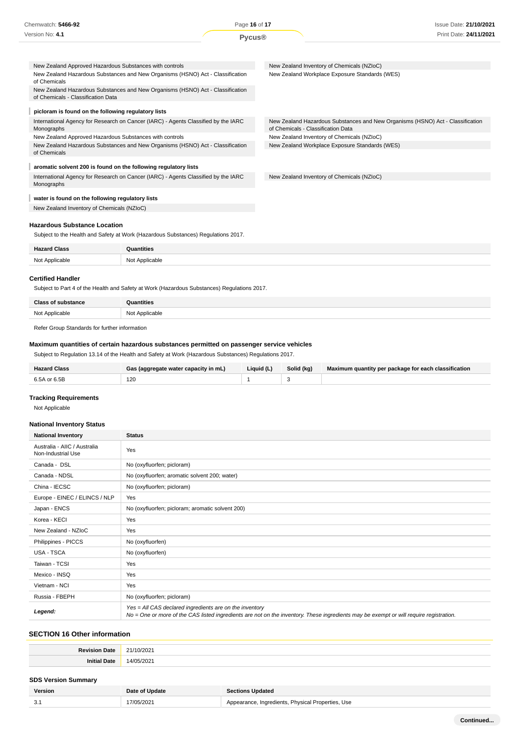| Chemwatch: 5466-92                                                                                                   | Page 16 of 17 | <b>Issue Date: 21/10/2021</b>                                                                                        |  |
|----------------------------------------------------------------------------------------------------------------------|---------------|----------------------------------------------------------------------------------------------------------------------|--|
| Version No: 4.1                                                                                                      | <b>Pycus®</b> | Print Date: 24/11/2021                                                                                               |  |
|                                                                                                                      |               |                                                                                                                      |  |
| New Zealand Approved Hazardous Substances with controls                                                              |               | New Zealand Inventory of Chemicals (NZIoC)                                                                           |  |
| New Zealand Hazardous Substances and New Organisms (HSNO) Act - Classification<br>of Chemicals                       |               | New Zealand Workplace Exposure Standards (WES)                                                                       |  |
| New Zealand Hazardous Substances and New Organisms (HSNO) Act - Classification<br>of Chemicals - Classification Data |               |                                                                                                                      |  |
| picloram is found on the following regulatory lists                                                                  |               |                                                                                                                      |  |
| International Agency for Research on Cancer (IARC) - Agents Classified by the IARC<br>Monographs                     |               | New Zealand Hazardous Substances and New Organisms (HSNO) Act - Classification<br>of Chemicals - Classification Data |  |
| New Zealand Approved Hazardous Substances with controls                                                              |               | New Zealand Inventory of Chemicals (NZIoC)                                                                           |  |
| New Zealand Hazardous Substances and New Organisms (HSNO) Act - Classification<br>of Chemicals                       |               | New Zealand Workplace Exposure Standards (WES)                                                                       |  |
| aromatic solvent 200 is found on the following regulatory lists                                                      |               |                                                                                                                      |  |
| International Agency for Research on Cancer (IARC) - Agents Classified by the IARC<br>Monographs                     |               | New Zealand Inventory of Chemicals (NZIoC)                                                                           |  |
| water is found on the following regulatory lists                                                                     |               |                                                                                                                      |  |

New Zealand Inventory of Chemicals (NZIoC)

## **Hazardous Substance Location**

Subject to the Health and Safety at Work (Hazardous Substances) Regulations 2017.

| <b>Hazard Class</b> | Quantities     |
|---------------------|----------------|
| Not Applicable      | Not Applicable |
|                     |                |

#### **Certified Handler**

Subject to Part 4 of the Health and Safety at Work (Hazardous Substances) Regulations 2017.

| <b>Class of substance</b> | Quantities          |
|---------------------------|---------------------|
| Not Applicable<br>.       | Not Applicable<br>. |

Refer Group Standards for further information

## **Maximum quantities of certain hazardous substances permitted on passenger service vehicles**

Subject to Regulation 13.14 of the Health and Safety at Work (Hazardous Substances) Regulations 2017.

| <b>Hazard Class</b> | Gas (aggregate water capacity in mL) | Liquid (L) | Solid (kg) | Maximum quantity per package for each classification |
|---------------------|--------------------------------------|------------|------------|------------------------------------------------------|
| 6.5A or 6.5B        | 120                                  |            |            |                                                      |

## **Tracking Requirements**

Not Applicable

## **National Inventory Status**

| <b>National Inventory</b>                          | <b>Status</b>                                                                                                                                                                                     |  |
|----------------------------------------------------|---------------------------------------------------------------------------------------------------------------------------------------------------------------------------------------------------|--|
| Australia - AIIC / Australia<br>Non-Industrial Use | Yes                                                                                                                                                                                               |  |
| Canada - DSL                                       | No (oxyfluorfen; picloram)                                                                                                                                                                        |  |
| Canada - NDSL                                      | No (oxyfluorfen; aromatic solvent 200; water)                                                                                                                                                     |  |
| China - IECSC                                      | No (oxyfluorfen; picloram)                                                                                                                                                                        |  |
| Europe - EINEC / ELINCS / NLP                      | Yes                                                                                                                                                                                               |  |
| Japan - ENCS                                       | No (oxyfluorfen; picloram; aromatic solvent 200)                                                                                                                                                  |  |
| Korea - KECI                                       | Yes                                                                                                                                                                                               |  |
| New Zealand - NZIoC                                | Yes                                                                                                                                                                                               |  |
| Philippines - PICCS                                | No (oxyfluorfen)                                                                                                                                                                                  |  |
| USA - TSCA                                         | No (oxyfluorfen)                                                                                                                                                                                  |  |
| Taiwan - TCSI                                      | Yes                                                                                                                                                                                               |  |
| Mexico - INSQ                                      | Yes                                                                                                                                                                                               |  |
| Vietnam - NCI                                      | Yes                                                                                                                                                                                               |  |
| Russia - FBEPH                                     | No (oxyfluorfen; picloram)                                                                                                                                                                        |  |
| Legend:                                            | Yes = All CAS declared ingredients are on the inventory<br>No = One or more of the CAS listed ingredients are not on the inventory. These ingredients may be exempt or will require registration. |  |

## **SECTION 16 Other information**

| Da<br>note<br>. Jalu<br>$\sim$ | 720Z                      |
|--------------------------------|---------------------------|
| ош                             | $\sim$<br>$\Delta$ /<br>- |

#### **SDS Version Summary**

| Version | Date of Update | <b>Sections Updated</b>                           |
|---------|----------------|---------------------------------------------------|
| 3.1     | 7/05/2021      | Appearance, Ingredients, Physical Properties, Use |